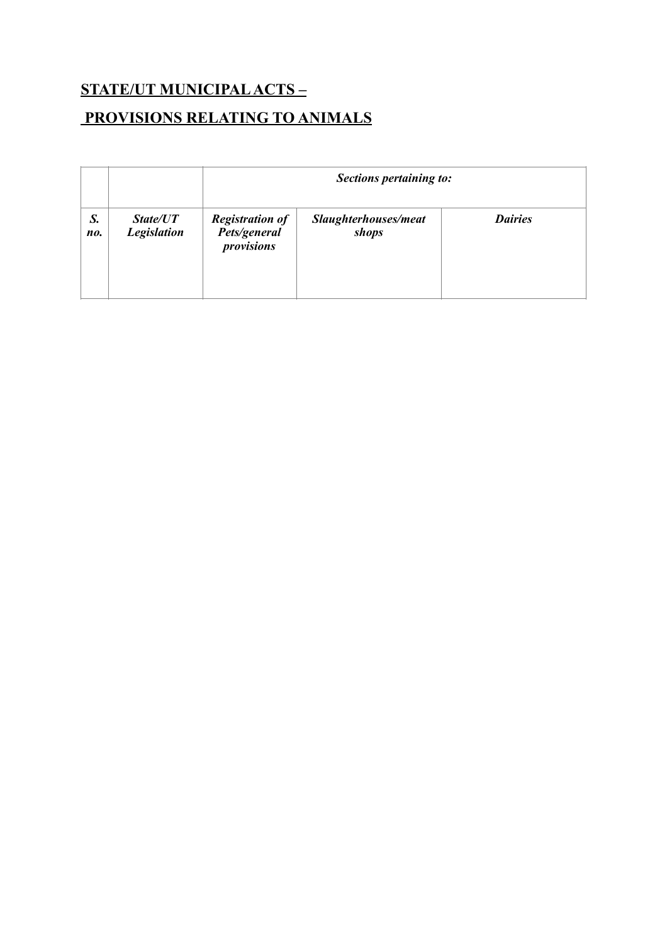## **STATE/UT MUNICIPAL ACTS – PROVISIONS RELATING TO ANIMALS**

|           |                                |                                                      | Sections pertaining to:       |                |  |
|-----------|--------------------------------|------------------------------------------------------|-------------------------------|----------------|--|
| S.<br>no. | State/UT<br><b>Legislation</b> | <b>Registration of</b><br>Pets/general<br>provisions | Slaughterhouses/meat<br>shops | <b>Dairies</b> |  |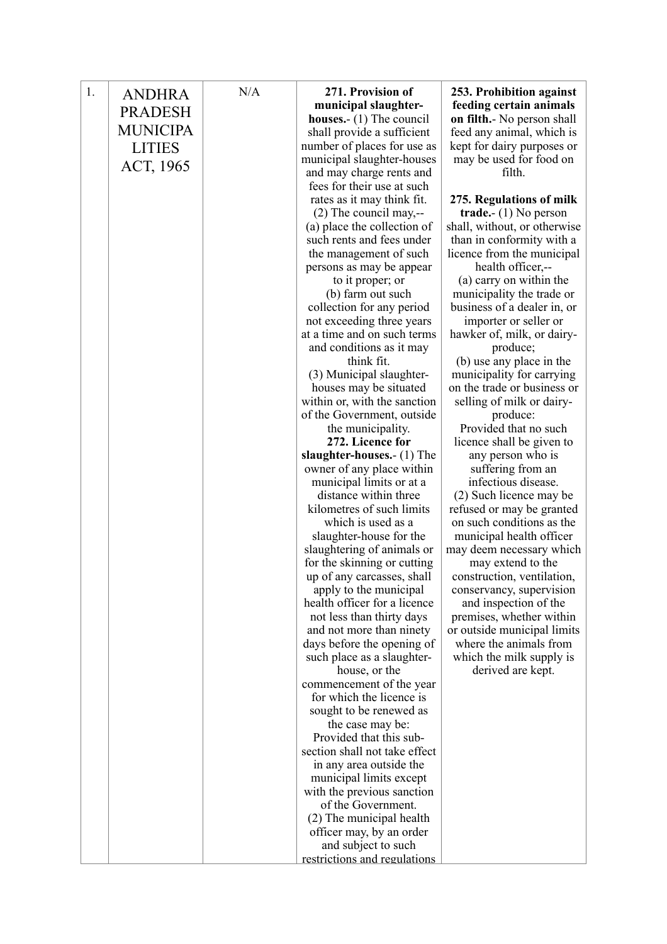| 1. | <b>ANDHRA</b>   | N/A | 271. Provision of                               | 253. Prohibition against          |
|----|-----------------|-----|-------------------------------------------------|-----------------------------------|
|    | <b>PRADESH</b>  |     | municipal slaughter-                            | feeding certain animals           |
|    |                 |     | houses. $(1)$ The council                       | on filth.- No person shall        |
|    | <b>MUNICIPA</b> |     | shall provide a sufficient                      | feed any animal, which is         |
|    | <b>LITIES</b>   |     | number of places for use as                     | kept for dairy purposes or        |
|    |                 |     | municipal slaughter-houses                      | may be used for food on           |
|    | ACT, 1965       |     | and may charge rents and                        | filth.                            |
|    |                 |     | fees for their use at such                      |                                   |
|    |                 |     | rates as it may think fit.                      | 275. Regulations of milk          |
|    |                 |     | $(2)$ The council may,--                        | trade.- $(1)$ No person           |
|    |                 |     | (a) place the collection of                     | shall, without, or otherwise      |
|    |                 |     | such rents and fees under                       | than in conformity with a         |
|    |                 |     | the management of such                          | licence from the municipal        |
|    |                 |     | persons as may be appear                        | health officer,--                 |
|    |                 |     | to it proper; or                                | (a) carry on within the           |
|    |                 |     | (b) farm out such                               | municipality the trade or         |
|    |                 |     | collection for any period                       | business of a dealer in, or       |
|    |                 |     | not exceeding three years                       | importer or seller or             |
|    |                 |     | at a time and on such terms                     | hawker of, milk, or dairy-        |
|    |                 |     | and conditions as it may                        | produce;                          |
|    |                 |     | think fit.                                      | (b) use any place in the          |
|    |                 |     | (3) Municipal slaughter-                        | municipality for carrying         |
|    |                 |     | houses may be situated                          | on the trade or business or       |
|    |                 |     | within or, with the sanction                    | selling of milk or dairy-         |
|    |                 |     | of the Government, outside<br>the municipality. | produce:<br>Provided that no such |
|    |                 |     | 272. Licence for                                | licence shall be given to         |
|    |                 |     | slaughter-houses.- (1) The                      | any person who is                 |
|    |                 |     | owner of any place within                       | suffering from an                 |
|    |                 |     | municipal limits or at a                        | infectious disease.               |
|    |                 |     | distance within three                           | (2) Such licence may be           |
|    |                 |     | kilometres of such limits                       | refused or may be granted         |
|    |                 |     | which is used as a                              | on such conditions as the         |
|    |                 |     | slaughter-house for the                         | municipal health officer          |
|    |                 |     | slaughtering of animals or                      | may deem necessary which          |
|    |                 |     | for the skinning or cutting                     | may extend to the                 |
|    |                 |     | up of any carcasses, shall                      | construction, ventilation,        |
|    |                 |     | apply to the municipal                          | conservancy, supervision          |
|    |                 |     | health officer for a licence                    | and inspection of the             |
|    |                 |     | not less than thirty days                       | premises, whether within          |
|    |                 |     | and not more than ninety                        | or outside municipal limits       |
|    |                 |     | days before the opening of                      | where the animals from            |
|    |                 |     | such place as a slaughter-                      | which the milk supply is          |
|    |                 |     | house, or the                                   | derived are kept.                 |
|    |                 |     | commencement of the year                        |                                   |
|    |                 |     | for which the licence is                        |                                   |
|    |                 |     | sought to be renewed as                         |                                   |
|    |                 |     | the case may be:<br>Provided that this sub-     |                                   |
|    |                 |     | section shall not take effect                   |                                   |
|    |                 |     | in any area outside the                         |                                   |
|    |                 |     | municipal limits except                         |                                   |
|    |                 |     | with the previous sanction                      |                                   |
|    |                 |     | of the Government.                              |                                   |
|    |                 |     | (2) The municipal health                        |                                   |
|    |                 |     | officer may, by an order                        |                                   |
|    |                 |     | and subject to such                             |                                   |
|    |                 |     | restrictions and regulations                    |                                   |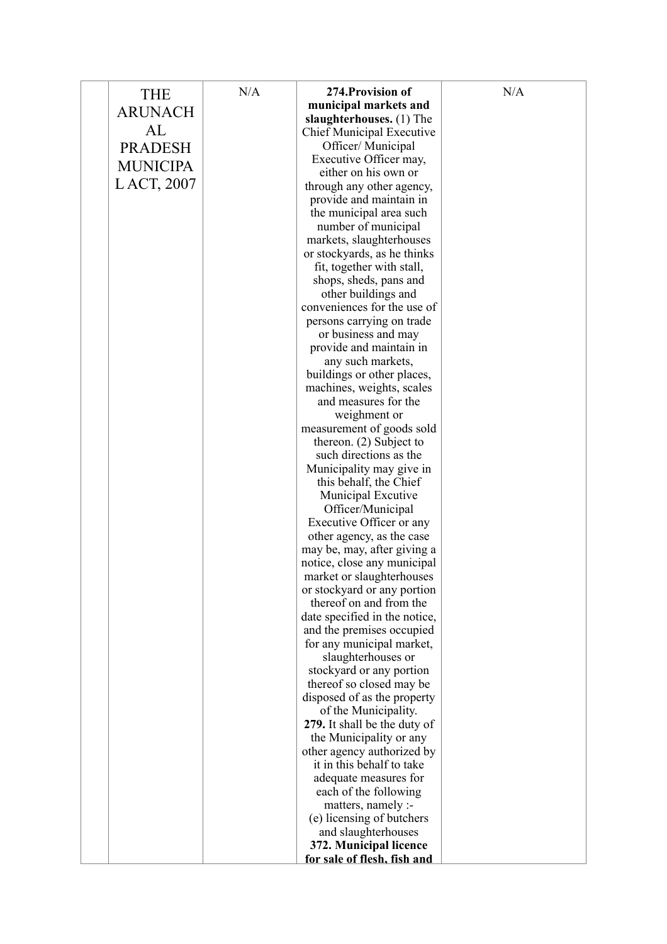| <b>THE</b>      | N/A | 274. Provision of                                       | N/A |
|-----------------|-----|---------------------------------------------------------|-----|
| <b>ARUNACH</b>  |     | municipal markets and                                   |     |
|                 |     | slaughterhouses. (1) The                                |     |
| AL              |     | <b>Chief Municipal Executive</b>                        |     |
| <b>PRADESH</b>  |     | Officer/ Municipal                                      |     |
| <b>MUNICIPA</b> |     | Executive Officer may,                                  |     |
|                 |     | either on his own or                                    |     |
| LACT, 2007      |     | through any other agency,                               |     |
|                 |     | provide and maintain in                                 |     |
|                 |     | the municipal area such                                 |     |
|                 |     | number of municipal                                     |     |
|                 |     | markets, slaughterhouses<br>or stockyards, as he thinks |     |
|                 |     | fit, together with stall,                               |     |
|                 |     | shops, sheds, pans and                                  |     |
|                 |     | other buildings and                                     |     |
|                 |     | conveniences for the use of                             |     |
|                 |     | persons carrying on trade                               |     |
|                 |     | or business and may                                     |     |
|                 |     | provide and maintain in                                 |     |
|                 |     | any such markets,                                       |     |
|                 |     | buildings or other places,                              |     |
|                 |     | machines, weights, scales                               |     |
|                 |     | and measures for the                                    |     |
|                 |     | weighment or                                            |     |
|                 |     | measurement of goods sold                               |     |
|                 |     | thereon. $(2)$ Subject to                               |     |
|                 |     | such directions as the                                  |     |
|                 |     | Municipality may give in                                |     |
|                 |     | this behalf, the Chief                                  |     |
|                 |     | Municipal Excutive<br>Officer/Municipal                 |     |
|                 |     | Executive Officer or any                                |     |
|                 |     | other agency, as the case                               |     |
|                 |     | may be, may, after giving a                             |     |
|                 |     | notice, close any municipal                             |     |
|                 |     | market or slaughterhouses                               |     |
|                 |     | or stockyard or any portion                             |     |
|                 |     | thereof on and from the                                 |     |
|                 |     | date specified in the notice,                           |     |
|                 |     | and the premises occupied                               |     |
|                 |     | for any municipal market,                               |     |
|                 |     | slaughterhouses or                                      |     |
|                 |     | stockyard or any portion                                |     |
|                 |     | thereof so closed may be                                |     |
|                 |     | disposed of as the property                             |     |
|                 |     | of the Municipality.<br>279. It shall be the duty of    |     |
|                 |     | the Municipality or any                                 |     |
|                 |     | other agency authorized by                              |     |
|                 |     | it in this behalf to take                               |     |
|                 |     | adequate measures for                                   |     |
|                 |     | each of the following                                   |     |
|                 |     | matters, namely :-                                      |     |
|                 |     | (e) licensing of butchers                               |     |
|                 |     | and slaughterhouses                                     |     |
|                 |     | 372. Municipal licence                                  |     |
|                 |     | for sale of flesh, fish and                             |     |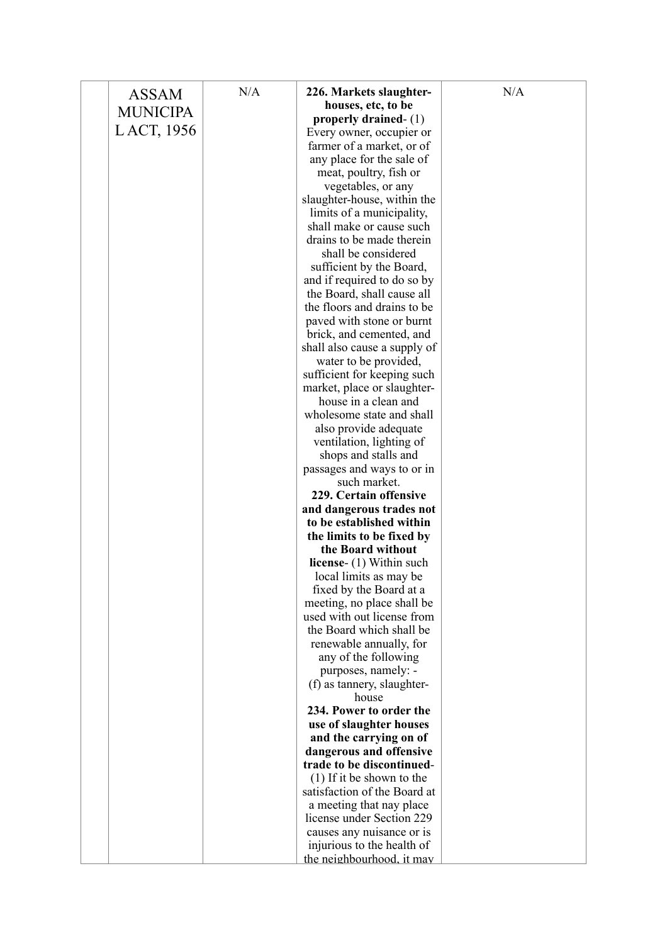| 226. Markets slaughter-<br><b>ASSAM</b><br>houses, etc, to be<br><b>MUNICIPA</b><br>properly drained- $(1)$<br>LACT, 1956<br>Every owner, occupier or<br>farmer of a market, or of<br>any place for the sale of<br>meat, poultry, fish or |  |
|-------------------------------------------------------------------------------------------------------------------------------------------------------------------------------------------------------------------------------------------|--|
|                                                                                                                                                                                                                                           |  |
|                                                                                                                                                                                                                                           |  |
|                                                                                                                                                                                                                                           |  |
|                                                                                                                                                                                                                                           |  |
|                                                                                                                                                                                                                                           |  |
|                                                                                                                                                                                                                                           |  |
| vegetables, or any                                                                                                                                                                                                                        |  |
| slaughter-house, within the                                                                                                                                                                                                               |  |
| limits of a municipality,                                                                                                                                                                                                                 |  |
| shall make or cause such                                                                                                                                                                                                                  |  |
| drains to be made therein                                                                                                                                                                                                                 |  |
| shall be considered                                                                                                                                                                                                                       |  |
| sufficient by the Board,                                                                                                                                                                                                                  |  |
| and if required to do so by                                                                                                                                                                                                               |  |
| the Board, shall cause all                                                                                                                                                                                                                |  |
| the floors and drains to be                                                                                                                                                                                                               |  |
| paved with stone or burnt                                                                                                                                                                                                                 |  |
| brick, and cemented, and                                                                                                                                                                                                                  |  |
| shall also cause a supply of                                                                                                                                                                                                              |  |
| water to be provided,                                                                                                                                                                                                                     |  |
| sufficient for keeping such                                                                                                                                                                                                               |  |
| market, place or slaughter-<br>house in a clean and                                                                                                                                                                                       |  |
| wholesome state and shall                                                                                                                                                                                                                 |  |
| also provide adequate                                                                                                                                                                                                                     |  |
| ventilation, lighting of                                                                                                                                                                                                                  |  |
| shops and stalls and                                                                                                                                                                                                                      |  |
| passages and ways to or in                                                                                                                                                                                                                |  |
| such market.                                                                                                                                                                                                                              |  |
| 229. Certain offensive                                                                                                                                                                                                                    |  |
| and dangerous trades not                                                                                                                                                                                                                  |  |
| to be established within                                                                                                                                                                                                                  |  |
| the limits to be fixed by                                                                                                                                                                                                                 |  |
| the Board without                                                                                                                                                                                                                         |  |
| license- (1) Within such                                                                                                                                                                                                                  |  |
| local limits as may be                                                                                                                                                                                                                    |  |
| fixed by the Board at a                                                                                                                                                                                                                   |  |
| meeting, no place shall be                                                                                                                                                                                                                |  |
| used with out license from                                                                                                                                                                                                                |  |
| the Board which shall be                                                                                                                                                                                                                  |  |
| renewable annually, for                                                                                                                                                                                                                   |  |
| any of the following                                                                                                                                                                                                                      |  |
| purposes, namely: -                                                                                                                                                                                                                       |  |
| (f) as tannery, slaughter-                                                                                                                                                                                                                |  |
| house                                                                                                                                                                                                                                     |  |
| 234. Power to order the                                                                                                                                                                                                                   |  |
| use of slaughter houses                                                                                                                                                                                                                   |  |
| and the carrying on of                                                                                                                                                                                                                    |  |
| dangerous and offensive<br>trade to be discontinued-                                                                                                                                                                                      |  |
| $(1)$ If it be shown to the                                                                                                                                                                                                               |  |
| satisfaction of the Board at                                                                                                                                                                                                              |  |
| a meeting that nay place                                                                                                                                                                                                                  |  |
| license under Section 229                                                                                                                                                                                                                 |  |
| causes any nuisance or is                                                                                                                                                                                                                 |  |
| injurious to the health of                                                                                                                                                                                                                |  |
| the neighbourhood, it may                                                                                                                                                                                                                 |  |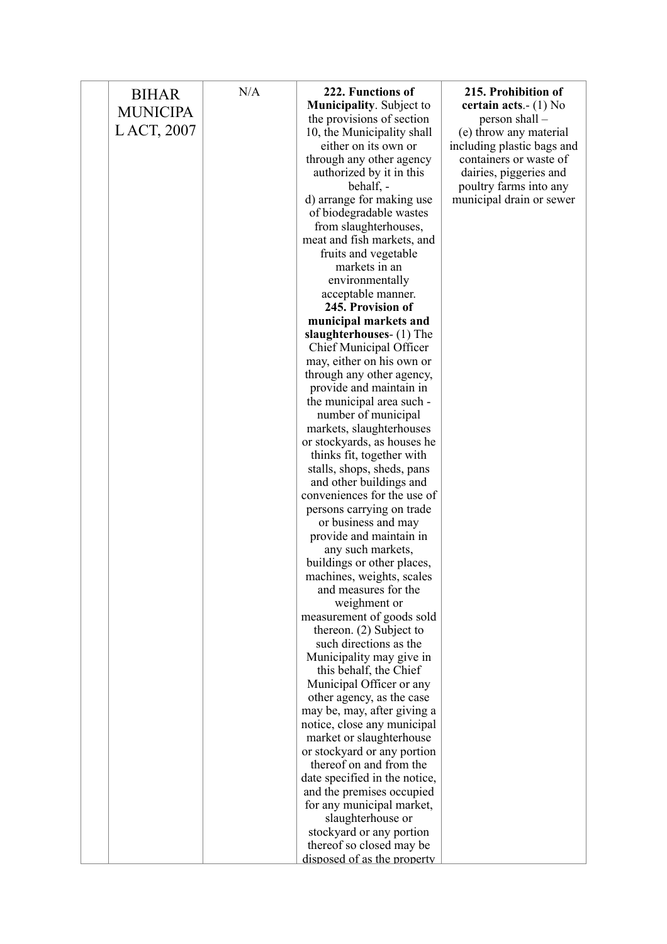| <b>BIHAR</b>    | N/A | 222. Functions of<br><b>Municipality.</b> Subject to    | 215. Prohibition of<br>certain acts. $- (1)$ No |
|-----------------|-----|---------------------------------------------------------|-------------------------------------------------|
| <b>MUNICIPA</b> |     | the provisions of section                               | person shall -                                  |
| LACT, 2007      |     | 10, the Municipality shall                              | (e) throw any material                          |
|                 |     | either on its own or                                    | including plastic bags and                      |
|                 |     | through any other agency                                | containers or waste of                          |
|                 |     | authorized by it in this                                | dairies, piggeries and                          |
|                 |     | behalf, -                                               | poultry farms into any                          |
|                 |     | d) arrange for making use<br>of biodegradable wastes    | municipal drain or sewer                        |
|                 |     | from slaughterhouses,                                   |                                                 |
|                 |     | meat and fish markets, and                              |                                                 |
|                 |     | fruits and vegetable                                    |                                                 |
|                 |     | markets in an                                           |                                                 |
|                 |     | environmentally                                         |                                                 |
|                 |     | acceptable manner.                                      |                                                 |
|                 |     | 245. Provision of                                       |                                                 |
|                 |     | municipal markets and                                   |                                                 |
|                 |     | slaughterhouses- (1) The                                |                                                 |
|                 |     | Chief Municipal Officer<br>may, either on his own or    |                                                 |
|                 |     | through any other agency,                               |                                                 |
|                 |     | provide and maintain in                                 |                                                 |
|                 |     | the municipal area such -                               |                                                 |
|                 |     | number of municipal                                     |                                                 |
|                 |     | markets, slaughterhouses                                |                                                 |
|                 |     | or stockyards, as houses he                             |                                                 |
|                 |     | thinks fit, together with                               |                                                 |
|                 |     | stalls, shops, sheds, pans                              |                                                 |
|                 |     | and other buildings and<br>conveniences for the use of  |                                                 |
|                 |     | persons carrying on trade                               |                                                 |
|                 |     | or business and may                                     |                                                 |
|                 |     | provide and maintain in                                 |                                                 |
|                 |     | any such markets,                                       |                                                 |
|                 |     | buildings or other places,                              |                                                 |
|                 |     | machines, weights, scales                               |                                                 |
|                 |     | and measures for the                                    |                                                 |
|                 |     | weighment or<br>measurement of goods sold               |                                                 |
|                 |     | thereon. $(2)$ Subject to                               |                                                 |
|                 |     | such directions as the                                  |                                                 |
|                 |     | Municipality may give in                                |                                                 |
|                 |     | this behalf, the Chief                                  |                                                 |
|                 |     | Municipal Officer or any                                |                                                 |
|                 |     | other agency, as the case                               |                                                 |
|                 |     | may be, may, after giving a                             |                                                 |
|                 |     | notice, close any municipal                             |                                                 |
|                 |     | market or slaughterhouse<br>or stockyard or any portion |                                                 |
|                 |     | thereof on and from the                                 |                                                 |
|                 |     | date specified in the notice,                           |                                                 |
|                 |     | and the premises occupied                               |                                                 |
|                 |     | for any municipal market,                               |                                                 |
|                 |     | slaughterhouse or                                       |                                                 |
|                 |     | stockyard or any portion                                |                                                 |
|                 |     | thereof so closed may be                                |                                                 |
|                 |     | disposed of as the property                             |                                                 |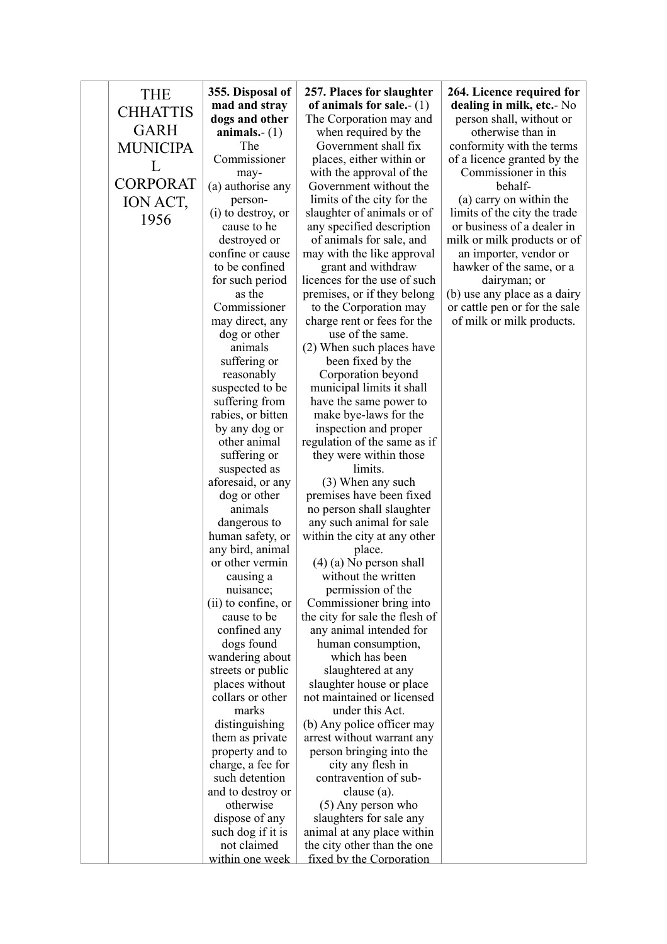| <b>THE</b>      | 355. Disposal of                    | 257. Places for slaughter                             | 264. Licence required for                                  |
|-----------------|-------------------------------------|-------------------------------------------------------|------------------------------------------------------------|
|                 | mad and stray                       | of animals for sale.- $(1)$                           | dealing in milk, etc.- No                                  |
| <b>CHHATTIS</b> | dogs and other                      | The Corporation may and                               | person shall, without or                                   |
| <b>GARH</b>     | animals.- $(1)$                     | when required by the                                  | otherwise than in                                          |
| <b>MUNICIPA</b> | The                                 | Government shall fix                                  | conformity with the terms                                  |
| L               | Commissioner                        | places, either within or                              | of a licence granted by the                                |
| <b>CORPORAT</b> | may-                                | with the approval of the                              | Commissioner in this                                       |
|                 | (a) authorise any                   | Government without the                                | behalf-                                                    |
| ION ACT,        | person-                             | limits of the city for the                            | (a) carry on within the                                    |
| 1956            | (i) to destroy, or<br>cause to he   | slaughter of animals or of                            | limits of the city the trade<br>or business of a dealer in |
|                 | destroyed or                        | any specified description<br>of animals for sale, and | milk or milk products or of                                |
|                 | confine or cause                    | may with the like approval                            | an importer, vendor or                                     |
|                 | to be confined                      | grant and withdraw                                    | hawker of the same, or a                                   |
|                 | for such period                     | licences for the use of such                          | dairyman; or                                               |
|                 | as the                              | premises, or if they belong                           | (b) use any place as a dairy                               |
|                 | Commissioner                        | to the Corporation may                                | or cattle pen or for the sale                              |
|                 | may direct, any                     | charge rent or fees for the                           | of milk or milk products.                                  |
|                 | dog or other                        | use of the same.                                      |                                                            |
|                 | animals                             | (2) When such places have                             |                                                            |
|                 | suffering or                        | been fixed by the                                     |                                                            |
|                 | reasonably                          | Corporation beyond                                    |                                                            |
|                 | suspected to be                     | municipal limits it shall                             |                                                            |
|                 | suffering from<br>rabies, or bitten | have the same power to                                |                                                            |
|                 | by any dog or                       | make bye-laws for the<br>inspection and proper        |                                                            |
|                 | other animal                        | regulation of the same as if                          |                                                            |
|                 | suffering or                        | they were within those                                |                                                            |
|                 | suspected as                        | limits.                                               |                                                            |
|                 | aforesaid, or any                   | (3) When any such                                     |                                                            |
|                 | dog or other                        | premises have been fixed                              |                                                            |
|                 | animals                             | no person shall slaughter                             |                                                            |
|                 | dangerous to                        | any such animal for sale                              |                                                            |
|                 | human safety, or                    | within the city at any other                          |                                                            |
|                 | any bird, animal                    | place.                                                |                                                            |
|                 | or other vermin                     | $(4)$ (a) No person shall                             |                                                            |
|                 | causing a<br>nuisance;              | without the written<br>permission of the              |                                                            |
|                 | $(ii)$ to confine, or               | Commissioner bring into                               |                                                            |
|                 | cause to be                         | the city for sale the flesh of                        |                                                            |
|                 | confined any                        | any animal intended for                               |                                                            |
|                 | dogs found                          | human consumption,                                    |                                                            |
|                 | wandering about                     | which has been                                        |                                                            |
|                 | streets or public                   | slaughtered at any                                    |                                                            |
|                 | places without                      | slaughter house or place                              |                                                            |
|                 | collars or other                    | not maintained or licensed                            |                                                            |
|                 | marks                               | under this Act.                                       |                                                            |
|                 | distinguishing                      | (b) Any police officer may                            |                                                            |
|                 | them as private                     | arrest without warrant any                            |                                                            |
|                 | property and to                     | person bringing into the                              |                                                            |
|                 | charge, a fee for<br>such detention | city any flesh in<br>contravention of sub-            |                                                            |
|                 | and to destroy or                   | clause (a).                                           |                                                            |
|                 | otherwise                           | $(5)$ Any person who                                  |                                                            |
|                 | dispose of any                      | slaughters for sale any                               |                                                            |
|                 | such dog if it is                   | animal at any place within                            |                                                            |
|                 | not claimed                         | the city other than the one                           |                                                            |
|                 | within one week                     | fixed by the Corporation                              |                                                            |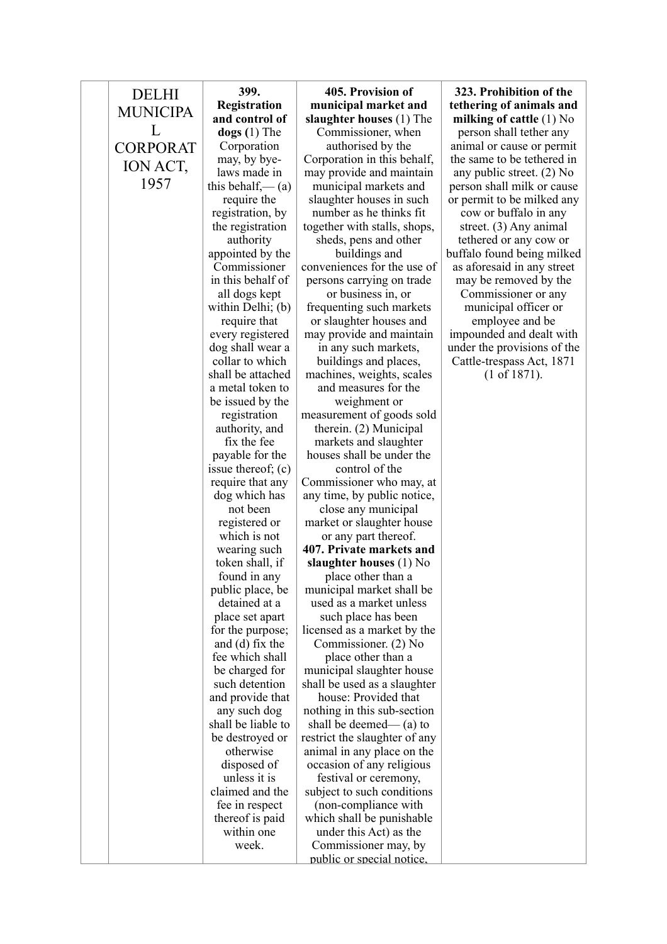| <b>DELHI</b>    | 399.                               | 405. Provision of                                     | 323. Prohibition of the                            |
|-----------------|------------------------------------|-------------------------------------------------------|----------------------------------------------------|
| <b>MUNICIPA</b> | Registration                       | municipal market and                                  | tethering of animals and                           |
|                 | and control of                     | slaughter houses (1) The                              | milking of cattle $(1)$ No                         |
| L               | $\log s(1)$ The                    | Commissioner, when                                    | person shall tether any                            |
| <b>CORPORAT</b> | Corporation                        | authorised by the                                     | animal or cause or permit                          |
| ION ACT,        | may, by bye-                       | Corporation in this behalf,                           | the same to be tethered in                         |
| 1957            | laws made in                       | may provide and maintain                              | any public street. $(2)$ No                        |
|                 | this behalf,— $(a)$                | municipal markets and                                 | person shall milk or cause                         |
|                 | require the                        | slaughter houses in such                              | or permit to be milked any                         |
|                 | registration, by                   | number as he thinks fit                               | cow or buffalo in any                              |
|                 | the registration<br>authority      | together with stalls, shops,<br>sheds, pens and other | street. $(3)$ Any animal<br>tethered or any cow or |
|                 | appointed by the                   | buildings and                                         | buffalo found being milked                         |
|                 | Commissioner                       | conveniences for the use of                           | as aforesaid in any street                         |
|                 | in this behalf of                  | persons carrying on trade                             | may be removed by the                              |
|                 | all dogs kept                      | or business in, or                                    | Commissioner or any                                |
|                 | within Delhi; (b)                  | frequenting such markets                              | municipal officer or                               |
|                 | require that                       | or slaughter houses and                               | employee and be                                    |
|                 | every registered                   | may provide and maintain                              | impounded and dealt with                           |
|                 | dog shall wear a                   | in any such markets,                                  | under the provisions of the                        |
|                 | collar to which                    | buildings and places,                                 | Cattle-trespass Act, 1871                          |
|                 | shall be attached                  | machines, weights, scales                             | (1 of 1871).                                       |
|                 | a metal token to                   | and measures for the                                  |                                                    |
|                 | be issued by the                   | weighment or                                          |                                                    |
|                 | registration                       | measurement of goods sold                             |                                                    |
|                 | authority, and                     | therein. (2) Municipal                                |                                                    |
|                 | fix the fee<br>payable for the     | markets and slaughter<br>houses shall be under the    |                                                    |
|                 | issue thereof; $(c)$               | control of the                                        |                                                    |
|                 | require that any                   | Commissioner who may, at                              |                                                    |
|                 | dog which has                      | any time, by public notice,                           |                                                    |
|                 | not been                           | close any municipal                                   |                                                    |
|                 | registered or                      | market or slaughter house                             |                                                    |
|                 | which is not                       | or any part thereof.                                  |                                                    |
|                 | wearing such                       | 407. Private markets and                              |                                                    |
|                 | token shall, if                    | slaughter houses $(1)$ No                             |                                                    |
|                 | found in any                       | place other than a                                    |                                                    |
|                 | public place, be                   | municipal market shall be                             |                                                    |
|                 | detained at a                      | used as a market unless                               |                                                    |
|                 | place set apart                    | such place has been                                   |                                                    |
|                 | for the purpose;                   | licensed as a market by the                           |                                                    |
|                 | and (d) fix the<br>fee which shall | Commissioner. (2) No<br>place other than a            |                                                    |
|                 | be charged for                     | municipal slaughter house                             |                                                    |
|                 | such detention                     | shall be used as a slaughter                          |                                                    |
|                 | and provide that                   | house: Provided that                                  |                                                    |
|                 | any such dog                       | nothing in this sub-section                           |                                                    |
|                 | shall be liable to                 | shall be deemed— $(a)$ to                             |                                                    |
|                 | be destroyed or                    | restrict the slaughter of any                         |                                                    |
|                 | otherwise                          | animal in any place on the                            |                                                    |
|                 | disposed of                        | occasion of any religious                             |                                                    |
|                 | unless it is                       | festival or ceremony,                                 |                                                    |
|                 | claimed and the                    | subject to such conditions                            |                                                    |
|                 | fee in respect                     | (non-compliance with                                  |                                                    |
|                 | thereof is paid                    | which shall be punishable                             |                                                    |
|                 | within one                         | under this Act) as the                                |                                                    |
|                 | week.                              | Commissioner may, by<br>public or special notice.     |                                                    |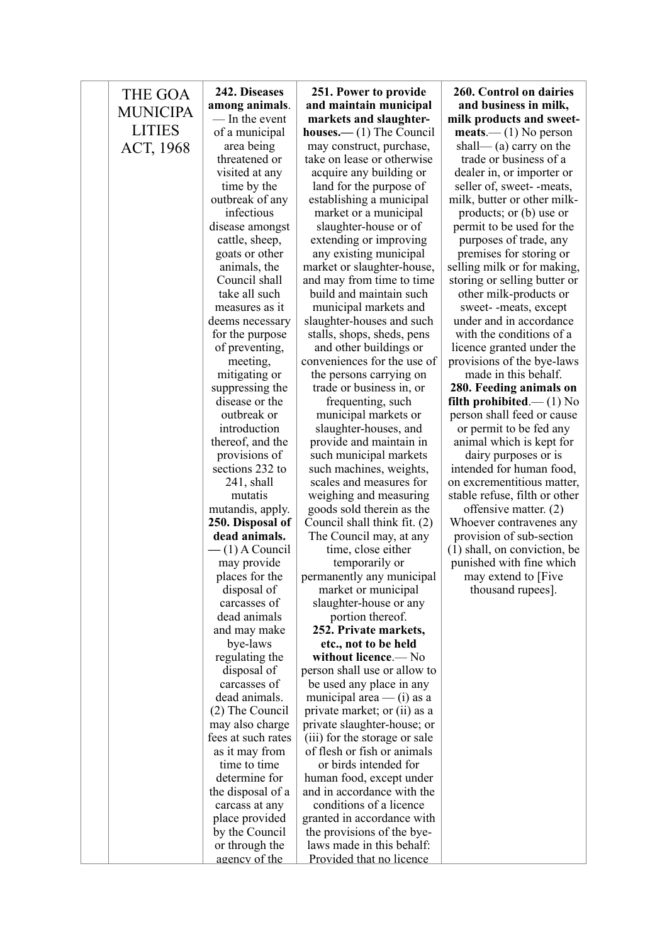| THE GOA         | 242. Diseases                         | 251. Power to provide                                        | 260. Control on dairies                               |
|-----------------|---------------------------------------|--------------------------------------------------------------|-------------------------------------------------------|
|                 | among animals.                        | and maintain municipal                                       | and business in milk,                                 |
| <b>MUNICIPA</b> | — In the event                        | markets and slaughter-                                       | milk products and sweet-                              |
| <b>LITIES</b>   | of a municipal                        | <b>houses.</b> —(1) The Council                              | $meats$ – (1) No person                               |
| ACT, 1968       | area being                            | may construct, purchase,                                     | shall— (a) carry on the                               |
|                 | threatened or                         | take on lease or otherwise                                   | trade or business of a                                |
|                 | visited at any                        | acquire any building or                                      | dealer in, or importer or                             |
|                 | time by the                           | land for the purpose of                                      | seller of, sweet--meats,                              |
|                 | outbreak of any                       | establishing a municipal                                     | milk, butter or other milk-                           |
|                 | infectious                            | market or a municipal                                        | products; or (b) use or                               |
|                 | disease amongst                       | slaughter-house or of                                        | permit to be used for the                             |
|                 | cattle, sheep,                        | extending or improving                                       | purposes of trade, any                                |
|                 | goats or other                        | any existing municipal                                       | premises for storing or                               |
|                 | animals, the                          | market or slaughter-house,                                   | selling milk or for making,                           |
|                 | Council shall                         | and may from time to time                                    | storing or selling butter or                          |
|                 | take all such                         | build and maintain such                                      | other milk-products or                                |
|                 | measures as it                        | municipal markets and                                        | sweet--meats, except                                  |
|                 | deems necessary                       | slaughter-houses and such                                    | under and in accordance                               |
|                 | for the purpose                       | stalls, shops, sheds, pens                                   | with the conditions of a                              |
|                 | of preventing,                        | and other buildings or                                       | licence granted under the                             |
|                 | meeting,                              | conveniences for the use of                                  | provisions of the bye-laws                            |
|                 | mitigating or                         | the persons carrying on                                      | made in this behalf.                                  |
|                 | suppressing the<br>disease or the     | trade or business in, or                                     | 280. Feeding animals on                               |
|                 | outbreak or                           | frequenting, such                                            | filth prohibited.— $(1)$ No                           |
|                 | introduction                          | municipal markets or<br>slaughter-houses, and                | person shall feed or cause<br>or permit to be fed any |
|                 | thereof, and the                      | provide and maintain in                                      | animal which is kept for                              |
|                 | provisions of                         | such municipal markets                                       | dairy purposes or is                                  |
|                 | sections 232 to                       | such machines, weights,                                      | intended for human food,                              |
|                 | $241$ , shall                         | scales and measures for                                      | on excrementitious matter,                            |
|                 | mutatis                               | weighing and measuring                                       | stable refuse, filth or other                         |
|                 | mutandis, apply.                      | goods sold therein as the                                    | offensive matter. (2)                                 |
|                 | 250. Disposal of                      | Council shall think fit. (2)                                 | Whoever contravenes any                               |
|                 | dead animals.                         | The Council may, at any                                      | provision of sub-section                              |
|                 | $-$ (1) A Council                     | time, close either                                           | (1) shall, on conviction, be                          |
|                 | may provide                           | temporarily or                                               | punished with fine which                              |
|                 | places for the                        | permanently any municipal                                    | may extend to [Five                                   |
|                 | disposal of                           | market or municipal                                          | thousand rupees].                                     |
|                 | carcasses of                          | slaughter-house or any                                       |                                                       |
|                 | dead animals                          | portion thereof.                                             |                                                       |
|                 | and may make                          | 252. Private markets,                                        |                                                       |
|                 | bye-laws                              | etc., not to be held                                         |                                                       |
|                 | regulating the                        | without licence.— No                                         |                                                       |
|                 | disposal of                           | person shall use or allow to                                 |                                                       |
|                 | carcasses of                          | be used any place in any                                     |                                                       |
|                 | dead animals.<br>(2) The Council      | municipal area $-$ (i) as a                                  |                                                       |
|                 |                                       | private market; or (ii) as a                                 |                                                       |
|                 | may also charge<br>fees at such rates | private slaughter-house; or<br>(iii) for the storage or sale |                                                       |
|                 | as it may from                        | of flesh or fish or animals                                  |                                                       |
|                 | time to time                          | or birds intended for                                        |                                                       |
|                 | determine for                         | human food, except under                                     |                                                       |
|                 | the disposal of a                     | and in accordance with the                                   |                                                       |
|                 | carcass at any                        | conditions of a licence                                      |                                                       |
|                 | place provided                        | granted in accordance with                                   |                                                       |
|                 | by the Council                        | the provisions of the bye-                                   |                                                       |
|                 | or through the                        | laws made in this behalf:                                    |                                                       |
|                 | agency of the                         | Provided that no licence                                     |                                                       |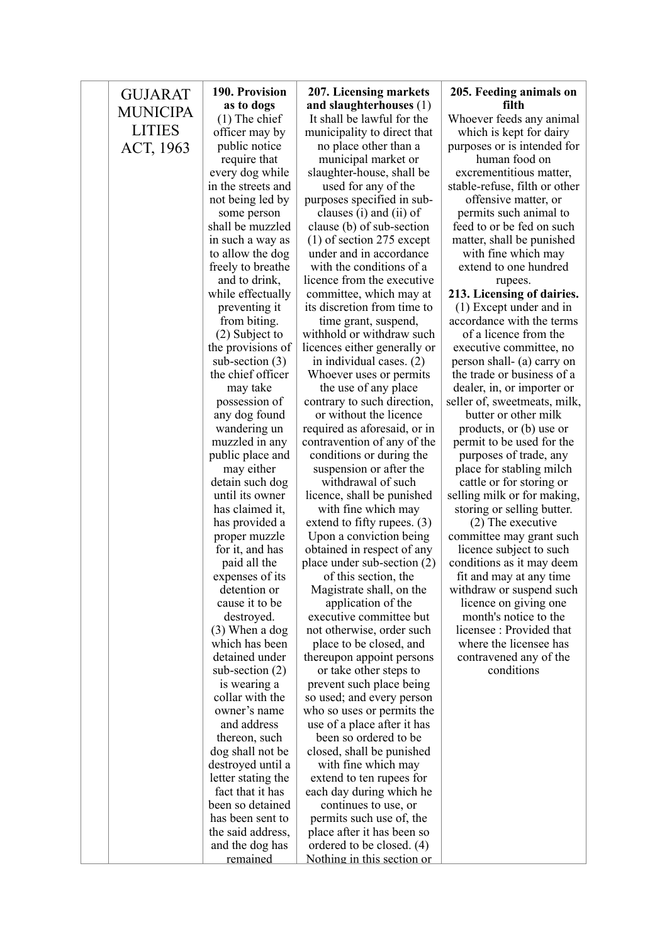| <b>GUJARAT</b>  | 190. Provision                       | 207. Licensing markets                                  | 205. Feeding animals on                              |
|-----------------|--------------------------------------|---------------------------------------------------------|------------------------------------------------------|
| <b>MUNICIPA</b> | as to dogs                           | and slaughterhouses (1)                                 | filth                                                |
| <b>LITIES</b>   | $(1)$ The chief                      | It shall be lawful for the                              | Whoever feeds any animal                             |
|                 | officer may by                       | municipality to direct that                             | which is kept for dairy                              |
| ACT, 1963       | public notice                        | no place other than a                                   | purposes or is intended for                          |
|                 | require that                         | municipal market or                                     | human food on                                        |
|                 | every dog while                      | slaughter-house, shall be                               | excrementitious matter,                              |
|                 | in the streets and                   | used for any of the                                     | stable-refuse, filth or other                        |
|                 | not being led by                     | purposes specified in sub-                              | offensive matter, or                                 |
|                 | some person<br>shall be muzzled      | clauses (i) and (ii) of                                 | permits such animal to                               |
|                 |                                      | clause (b) of sub-section                               | feed to or be fed on such                            |
|                 | in such a way as<br>to allow the dog | $(1)$ of section 275 except<br>under and in accordance  | matter, shall be punished                            |
|                 | freely to breathe                    | with the conditions of a                                | with fine which may<br>extend to one hundred         |
|                 | and to drink,                        | licence from the executive                              | rupees.                                              |
|                 | while effectually                    | committee, which may at                                 | 213. Licensing of dairies.                           |
|                 | preventing it                        | its discretion from time to                             | $(1)$ Except under and in                            |
|                 | from biting.                         | time grant, suspend,                                    | accordance with the terms                            |
|                 | (2) Subject to                       | withhold or withdraw such                               | of a licence from the                                |
|                 | the provisions of                    | licences either generally or                            | executive committee, no                              |
|                 | sub-section $(3)$                    | in individual cases. (2)                                | person shall- (a) carry on                           |
|                 | the chief officer                    | Whoever uses or permits                                 | the trade or business of a                           |
|                 | may take                             | the use of any place                                    | dealer, in, or importer or                           |
|                 | possession of                        | contrary to such direction,                             | seller of, sweetmeats, milk,                         |
|                 | any dog found                        | or without the licence                                  | butter or other milk                                 |
|                 | wandering un                         | required as aforesaid, or in                            | products, or (b) use or                              |
|                 | muzzled in any                       | contravention of any of the                             | permit to be used for the                            |
|                 | public place and                     | conditions or during the                                | purposes of trade, any                               |
|                 | may either                           | suspension or after the                                 | place for stabling milch                             |
|                 | detain such dog                      | withdrawal of such                                      | cattle or for storing or                             |
|                 | until its owner                      | licence, shall be punished                              | selling milk or for making,                          |
|                 | has claimed it,                      | with fine which may                                     | storing or selling butter.                           |
|                 | has provided a                       | extend to fifty rupees. $(3)$                           | $(2)$ The executive                                  |
|                 | proper muzzle                        | Upon a conviction being                                 | committee may grant such                             |
|                 | for it, and has                      | obtained in respect of any                              | licence subject to such                              |
|                 | paid all the<br>expenses of its      | place under sub-section $(2)$<br>of this section, the   | conditions as it may deem<br>fit and may at any time |
|                 | detention or                         | Magistrate shall, on the                                | withdraw or suspend such                             |
|                 | cause it to be                       | application of the                                      | licence on giving one                                |
|                 | destroyed.                           | executive committee but                                 | month's notice to the                                |
|                 | $(3)$ When a dog                     | not otherwise, order such                               | licensee: Provided that                              |
|                 | which has been                       | place to be closed, and                                 | where the licensee has                               |
|                 | detained under                       | thereupon appoint persons                               | contravened any of the                               |
|                 | sub-section $(2)$                    | or take other steps to                                  | conditions                                           |
|                 | is wearing a                         | prevent such place being                                |                                                      |
|                 | collar with the                      | so used; and every person                               |                                                      |
|                 | owner's name                         | who so uses or permits the                              |                                                      |
|                 | and address                          | use of a place after it has                             |                                                      |
|                 | thereon, such                        | been so ordered to be                                   |                                                      |
|                 | dog shall not be                     | closed, shall be punished                               |                                                      |
|                 | destroyed until a                    | with fine which may                                     |                                                      |
|                 | letter stating the                   | extend to ten rupees for                                |                                                      |
|                 | fact that it has                     | each day during which he                                |                                                      |
|                 | been so detained                     | continues to use, or                                    |                                                      |
|                 | has been sent to                     | permits such use of, the                                |                                                      |
|                 | the said address,<br>and the dog has | place after it has been so<br>ordered to be closed. (4) |                                                      |
|                 | remained                             | Nothing in this section or                              |                                                      |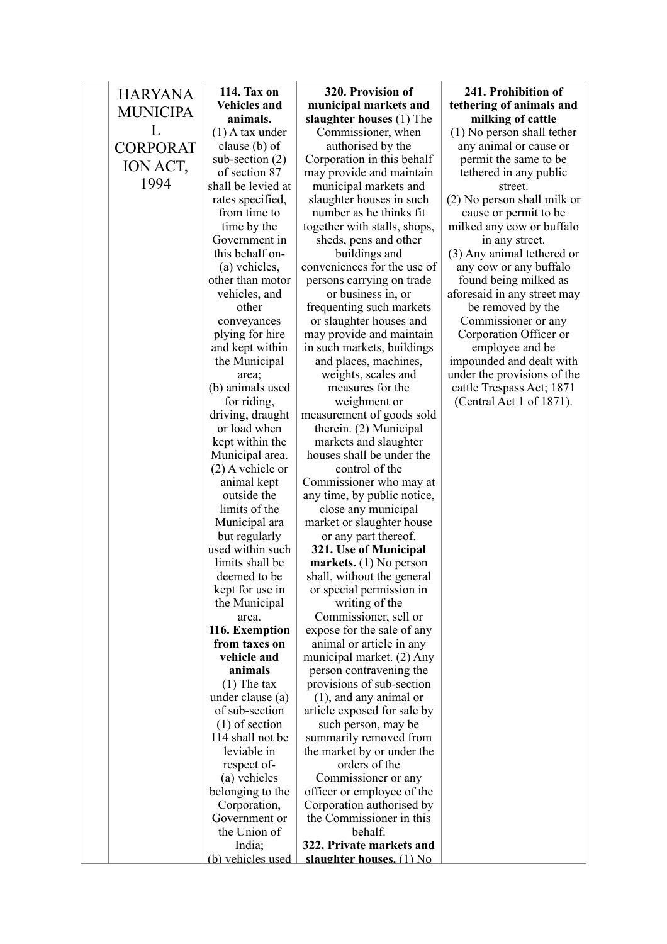| <b>HARYANA</b><br><b>MUNICIPA</b> | 114. Tax on<br><b>Vehicles and</b><br>animals. | 320. Provision of<br>municipal markets and<br>slaughter houses (1) The | 241. Prohibition of<br>tethering of animals and<br>milking of cattle |
|-----------------------------------|------------------------------------------------|------------------------------------------------------------------------|----------------------------------------------------------------------|
| L                                 | $(1)$ A tax under                              | Commissioner, when                                                     | (1) No person shall tether                                           |
| <b>CORPORAT</b>                   | clause (b) of                                  | authorised by the                                                      | any animal or cause or                                               |
|                                   | sub-section $(2)$                              | Corporation in this behalf                                             | permit the same to be                                                |
| ION ACT,                          | of section 87                                  | may provide and maintain                                               | tethered in any public                                               |
| 1994                              | shall be levied at                             | municipal markets and                                                  | street.                                                              |
|                                   | rates specified,                               | slaughter houses in such                                               | (2) No person shall milk or                                          |
|                                   | from time to                                   | number as he thinks fit.                                               | cause or permit to be                                                |
|                                   | time by the                                    | together with stalls, shops,                                           | milked any cow or buffalo                                            |
|                                   | Government in                                  | sheds, pens and other                                                  | in any street.                                                       |
|                                   | this behalf on-                                | buildings and                                                          | (3) Any animal tethered or                                           |
|                                   | (a) vehicles,                                  | conveniences for the use of                                            | any cow or any buffalo                                               |
|                                   | other than motor                               | persons carrying on trade                                              | found being milked as                                                |
|                                   | vehicles, and                                  | or business in, or                                                     | aforesaid in any street may                                          |
|                                   | other                                          | frequenting such markets                                               | be removed by the                                                    |
|                                   | conveyances                                    | or slaughter houses and                                                | Commissioner or any                                                  |
|                                   | plying for hire<br>and kept within             | may provide and maintain<br>in such markets, buildings                 | Corporation Officer or<br>employee and be                            |
|                                   | the Municipal                                  | and places, machines,                                                  | impounded and dealt with                                             |
|                                   | area;                                          | weights, scales and                                                    | under the provisions of the                                          |
|                                   | (b) animals used                               | measures for the                                                       | cattle Trespass Act; 1871                                            |
|                                   | for riding,                                    | weighment or                                                           | (Central Act 1 of 1871).                                             |
|                                   | driving, draught                               | measurement of goods sold                                              |                                                                      |
|                                   | or load when                                   | therein. (2) Municipal                                                 |                                                                      |
|                                   | kept within the                                | markets and slaughter                                                  |                                                                      |
|                                   | Municipal area.                                | houses shall be under the                                              |                                                                      |
|                                   | $(2)$ A vehicle or                             | control of the                                                         |                                                                      |
|                                   | animal kept                                    | Commissioner who may at                                                |                                                                      |
|                                   | outside the                                    | any time, by public notice,                                            |                                                                      |
|                                   | limits of the<br>Municipal ara                 | close any municipal<br>market or slaughter house                       |                                                                      |
|                                   | but regularly                                  | or any part thereof.                                                   |                                                                      |
|                                   | used within such                               | 321. Use of Municipal                                                  |                                                                      |
|                                   | limits shall be                                | markets. $(1)$ No person                                               |                                                                      |
|                                   | deemed to be                                   | shall, without the general                                             |                                                                      |
|                                   | kept for use in                                | or special permission in                                               |                                                                      |
|                                   | the Municipal                                  | writing of the                                                         |                                                                      |
|                                   | area.                                          | Commissioner, sell or                                                  |                                                                      |
|                                   | 116. Exemption                                 | expose for the sale of any                                             |                                                                      |
|                                   | from taxes on                                  | animal or article in any                                               |                                                                      |
|                                   | vehicle and                                    | municipal market. (2) Any                                              |                                                                      |
|                                   | animals<br>$(1)$ The tax                       | person contravening the<br>provisions of sub-section                   |                                                                      |
|                                   | under clause (a)                               | $(1)$ , and any animal or                                              |                                                                      |
|                                   | of sub-section                                 | article exposed for sale by                                            |                                                                      |
|                                   | $(1)$ of section                               | such person, may be                                                    |                                                                      |
|                                   | 114 shall not be                               | summarily removed from                                                 |                                                                      |
|                                   | leviable in                                    | the market by or under the                                             |                                                                      |
|                                   | respect of-                                    | orders of the                                                          |                                                                      |
|                                   | (a) vehicles                                   | Commissioner or any                                                    |                                                                      |
|                                   | belonging to the                               | officer or employee of the                                             |                                                                      |
|                                   | Corporation,                                   | Corporation authorised by                                              |                                                                      |
|                                   | Government or                                  | the Commissioner in this                                               |                                                                      |
|                                   | the Union of                                   | behalf.                                                                |                                                                      |
|                                   | India;<br>(b) vehicles used                    | 322. Private markets and<br>slaughter houses. (1) No                   |                                                                      |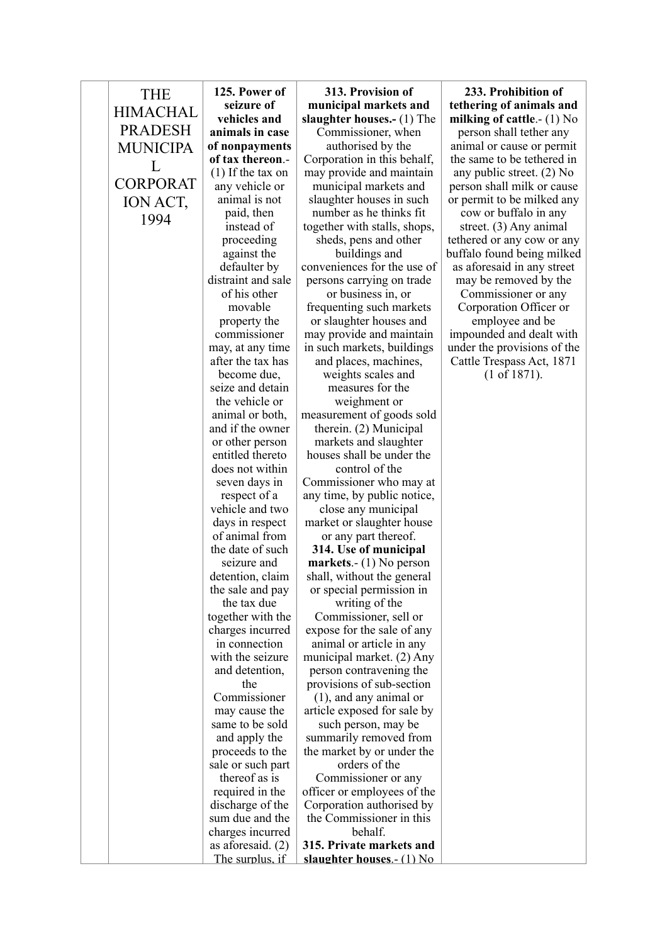| <b>THE</b><br><b>HIMACHAL</b><br><b>PRADESH</b> | 125. Power of<br>seizure of<br>vehicles and<br>animals in case | 313. Provision of<br>municipal markets and<br>slaughter houses.- (1) The<br>Commissioner, when | 233. Prohibition of<br>tethering of animals and<br>milking of cattle.- $(1)$ No<br>person shall tether any |
|-------------------------------------------------|----------------------------------------------------------------|------------------------------------------------------------------------------------------------|------------------------------------------------------------------------------------------------------------|
| <b>MUNICIPA</b>                                 | of nonpayments                                                 | authorised by the                                                                              | animal or cause or permit                                                                                  |
| L                                               | of tax thereon.-                                               | Corporation in this behalf,                                                                    | the same to be tethered in                                                                                 |
|                                                 | $(1)$ If the tax on                                            | may provide and maintain                                                                       | any public street. $(2)$ No                                                                                |
| <b>CORPORAT</b>                                 | any vehicle or                                                 | municipal markets and                                                                          | person shall milk or cause                                                                                 |
| ION ACT,                                        | animal is not                                                  | slaughter houses in such                                                                       | or permit to be milked any                                                                                 |
| 1994                                            | paid, then                                                     | number as he thinks fit.                                                                       | cow or buffalo in any                                                                                      |
|                                                 | instead of                                                     | together with stalls, shops,                                                                   | street. $(3)$ Any animal                                                                                   |
|                                                 | proceeding<br>against the                                      | sheds, pens and other<br>buildings and                                                         | tethered or any cow or any<br>buffalo found being milked                                                   |
|                                                 | defaulter by                                                   | conveniences for the use of                                                                    | as aforesaid in any street                                                                                 |
|                                                 | distraint and sale                                             | persons carrying on trade                                                                      | may be removed by the                                                                                      |
|                                                 | of his other                                                   | or business in, or                                                                             | Commissioner or any                                                                                        |
|                                                 | movable                                                        | frequenting such markets                                                                       | Corporation Officer or                                                                                     |
|                                                 | property the                                                   | or slaughter houses and                                                                        | employee and be                                                                                            |
|                                                 | commissioner                                                   | may provide and maintain                                                                       | impounded and dealt with                                                                                   |
|                                                 | may, at any time                                               | in such markets, buildings                                                                     | under the provisions of the                                                                                |
|                                                 | after the tax has                                              | and places, machines,                                                                          | Cattle Trespass Act, 1871                                                                                  |
|                                                 | become due,                                                    | weights scales and                                                                             | $(1 \text{ of } 1871).$                                                                                    |
|                                                 | seize and detain<br>the vehicle or                             | measures for the                                                                               |                                                                                                            |
|                                                 | animal or both,                                                | weighment or<br>measurement of goods sold                                                      |                                                                                                            |
|                                                 | and if the owner                                               | therein. (2) Municipal                                                                         |                                                                                                            |
|                                                 | or other person                                                | markets and slaughter                                                                          |                                                                                                            |
|                                                 | entitled thereto                                               | houses shall be under the                                                                      |                                                                                                            |
|                                                 | does not within                                                | control of the                                                                                 |                                                                                                            |
|                                                 | seven days in                                                  | Commissioner who may at                                                                        |                                                                                                            |
|                                                 | respect of a                                                   | any time, by public notice,                                                                    |                                                                                                            |
|                                                 | vehicle and two                                                | close any municipal                                                                            |                                                                                                            |
|                                                 | days in respect                                                | market or slaughter house                                                                      |                                                                                                            |
|                                                 | of animal from                                                 | or any part thereof.                                                                           |                                                                                                            |
|                                                 | the date of such<br>seizure and                                | 314. Use of municipal<br>markets.- $(1)$ No person                                             |                                                                                                            |
|                                                 | detention, claim                                               | shall, without the general                                                                     |                                                                                                            |
|                                                 | the sale and pay                                               | or special permission in                                                                       |                                                                                                            |
|                                                 | the tax due                                                    | writing of the                                                                                 |                                                                                                            |
|                                                 | together with the                                              | Commissioner, sell or                                                                          |                                                                                                            |
|                                                 | charges incurred                                               | expose for the sale of any                                                                     |                                                                                                            |
|                                                 | in connection                                                  | animal or article in any                                                                       |                                                                                                            |
|                                                 | with the seizure                                               | municipal market. (2) Any                                                                      |                                                                                                            |
|                                                 | and detention,                                                 | person contravening the                                                                        |                                                                                                            |
|                                                 | the                                                            | provisions of sub-section                                                                      |                                                                                                            |
|                                                 | Commissioner                                                   | $(1)$ , and any animal or                                                                      |                                                                                                            |
|                                                 | may cause the                                                  | article exposed for sale by                                                                    |                                                                                                            |
|                                                 | same to be sold<br>and apply the                               | such person, may be<br>summarily removed from                                                  |                                                                                                            |
|                                                 | proceeds to the                                                | the market by or under the                                                                     |                                                                                                            |
|                                                 | sale or such part                                              | orders of the                                                                                  |                                                                                                            |
|                                                 | thereof as is                                                  | Commissioner or any                                                                            |                                                                                                            |
|                                                 | required in the                                                | officer or employees of the                                                                    |                                                                                                            |
|                                                 | discharge of the                                               | Corporation authorised by                                                                      |                                                                                                            |
|                                                 | sum due and the                                                | the Commissioner in this                                                                       |                                                                                                            |
|                                                 | charges incurred                                               | behalf.                                                                                        |                                                                                                            |
|                                                 | as aforesaid. $(2)$                                            | 315. Private markets and                                                                       |                                                                                                            |
|                                                 | The surplus, if                                                | slaughter houses.- (1) No                                                                      |                                                                                                            |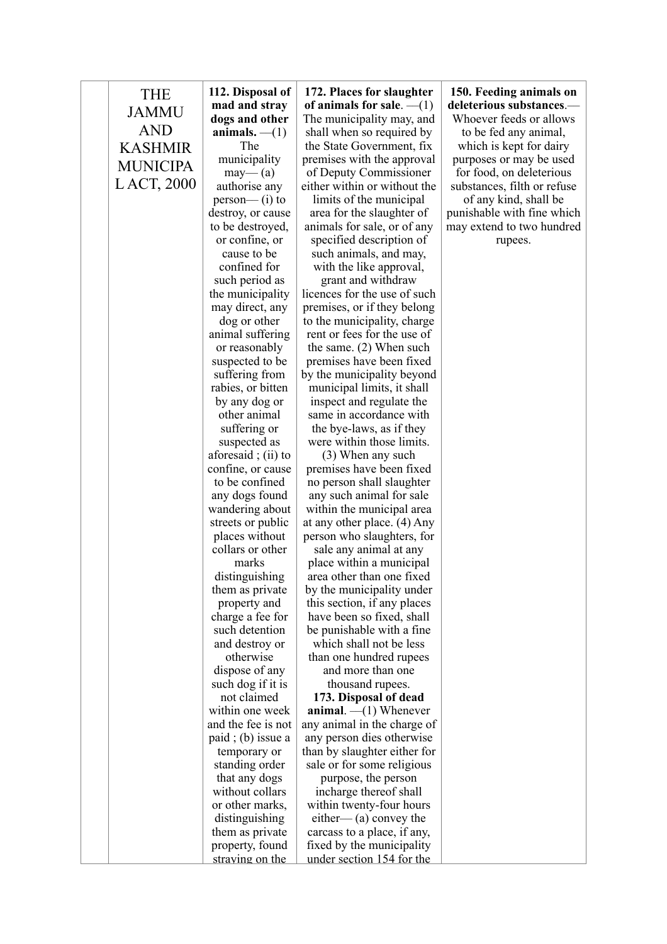| <b>THE</b>      | 112. Disposal of                  | 172. Places for slaughter                                | 150. Feeding animals on     |
|-----------------|-----------------------------------|----------------------------------------------------------|-----------------------------|
|                 | mad and stray                     | of animals for sale. $-(1)$                              | deleterious substances.—    |
| <b>JAMMU</b>    | dogs and other                    | The municipality may, and                                | Whoever feeds or allows     |
| <b>AND</b>      | animals. $-(1)$                   | shall when so required by                                | to be fed any animal,       |
| <b>KASHMIR</b>  | The                               | the State Government, fix                                | which is kept for dairy     |
| <b>MUNICIPA</b> | municipality                      | premises with the approval                               | purposes or may be used     |
|                 | may—(a)                           | of Deputy Commissioner                                   | for food, on deleterious    |
| L ACT, 2000     | authorise any                     | either within or without the                             | substances, filth or refuse |
|                 | $person$ (i) to                   | limits of the municipal                                  | of any kind, shall be       |
|                 | destroy, or cause                 | area for the slaughter of                                | punishable with fine which  |
|                 | to be destroyed,                  | animals for sale, or of any                              | may extend to two hundred   |
|                 | or confine, or                    | specified description of                                 | rupees.                     |
|                 | cause to be                       | such animals, and may,                                   |                             |
|                 | confined for                      | with the like approval,                                  |                             |
|                 | such period as                    | grant and withdraw                                       |                             |
|                 | the municipality                  | licences for the use of such                             |                             |
|                 | may direct, any                   | premises, or if they belong                              |                             |
|                 | dog or other                      | to the municipality, charge                              |                             |
|                 | animal suffering                  | rent or fees for the use of                              |                             |
|                 | or reasonably                     | the same. $(2)$ When such<br>premises have been fixed    |                             |
|                 | suspected to be<br>suffering from | by the municipality beyond                               |                             |
|                 | rabies, or bitten                 | municipal limits, it shall                               |                             |
|                 | by any dog or                     | inspect and regulate the                                 |                             |
|                 | other animal                      | same in accordance with                                  |                             |
|                 | suffering or                      | the bye-laws, as if they                                 |                             |
|                 | suspected as                      | were within those limits.                                |                             |
|                 | aforesaid; $(ii)$ to              | (3) When any such                                        |                             |
|                 | confine, or cause                 | premises have been fixed                                 |                             |
|                 | to be confined                    | no person shall slaughter                                |                             |
|                 | any dogs found                    | any such animal for sale                                 |                             |
|                 | wandering about                   | within the municipal area                                |                             |
|                 | streets or public                 | at any other place. (4) Any                              |                             |
|                 | places without                    | person who slaughters, for                               |                             |
|                 | collars or other                  | sale any animal at any                                   |                             |
|                 | marks                             | place within a municipal                                 |                             |
|                 | distinguishing                    | area other than one fixed                                |                             |
|                 | them as private                   | by the municipality under                                |                             |
|                 | property and                      | this section, if any places                              |                             |
|                 | charge a fee for                  | have been so fixed, shall                                |                             |
|                 | such detention                    | be punishable with a fine                                |                             |
|                 | and destroy or                    | which shall not be less                                  |                             |
|                 | otherwise                         | than one hundred rupees                                  |                             |
|                 | dispose of any                    | and more than one                                        |                             |
|                 | such dog if it is                 | thousand rupees.                                         |                             |
|                 | not claimed<br>within one week    | 173. Disposal of dead                                    |                             |
|                 | and the fee is not                | animal. $-(1)$ Whenever                                  |                             |
|                 | $paid$ ; (b) issue a              | any animal in the charge of<br>any person dies otherwise |                             |
|                 | temporary or                      | than by slaughter either for                             |                             |
|                 | standing order                    | sale or for some religious                               |                             |
|                 | that any dogs                     | purpose, the person                                      |                             |
|                 | without collars                   | incharge thereof shall                                   |                             |
|                 | or other marks,                   | within twenty-four hours                                 |                             |
|                 | distinguishing                    | either— $(a)$ convey the                                 |                             |
|                 | them as private                   | carcass to a place, if any,                              |                             |
|                 | property, found                   | fixed by the municipality                                |                             |
|                 | straving on the                   | under section 154 for the                                |                             |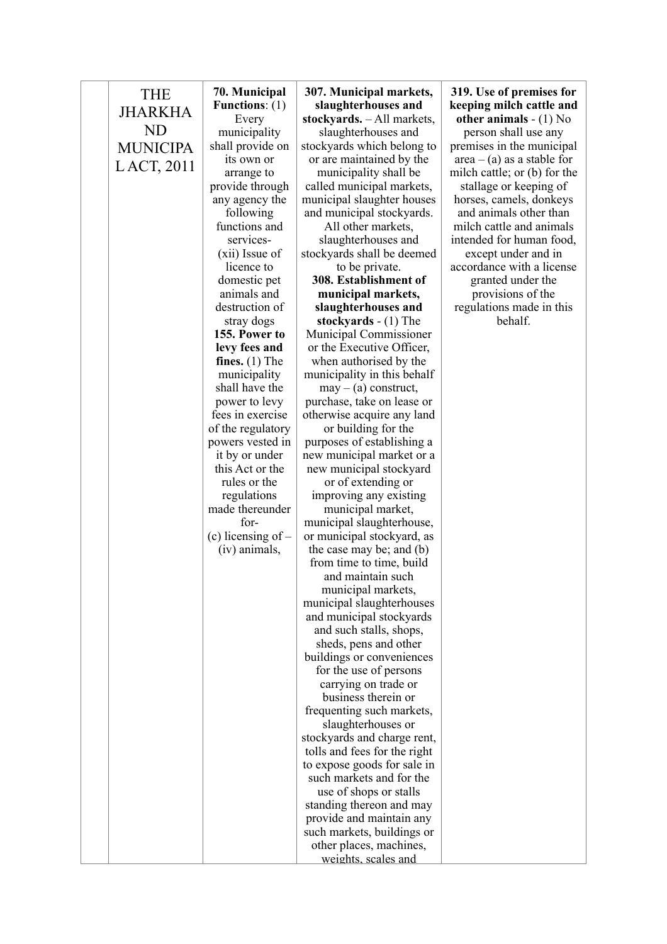| <b>THE</b>      | 70. Municipal                      | 307. Municipal markets,                                 | 319. Use of premises for                                  |
|-----------------|------------------------------------|---------------------------------------------------------|-----------------------------------------------------------|
| <b>JHARKHA</b>  | Functions: $(1)$                   | slaughterhouses and                                     | keeping milch cattle and                                  |
| <b>ND</b>       | Every                              | stockyards. - All markets,                              | other animals $- (1)$ No                                  |
|                 | municipality                       | slaughterhouses and                                     | person shall use any                                      |
| <b>MUNICIPA</b> | shall provide on<br>its own or     | stockyards which belong to<br>or are maintained by the  | premises in the municipal<br>$area - (a)$ as a stable for |
| LACT, 2011      | arrange to                         | municipality shall be                                   | milch cattle; or (b) for the                              |
|                 | provide through                    | called municipal markets,                               | stallage or keeping of                                    |
|                 | any agency the                     | municipal slaughter houses                              | horses, camels, donkeys                                   |
|                 | following                          | and municipal stockyards.                               | and animals other than                                    |
|                 | functions and                      | All other markets,                                      | milch cattle and animals                                  |
|                 | services-                          | slaughterhouses and                                     | intended for human food,                                  |
|                 | (xii) Issue of                     | stockyards shall be deemed                              | except under and in                                       |
|                 | licence to                         | to be private.                                          | accordance with a license                                 |
|                 | domestic pet                       | 308. Establishment of                                   | granted under the                                         |
|                 | animals and<br>destruction of      | municipal markets,<br>slaughterhouses and               | provisions of the<br>regulations made in this             |
|                 | stray dogs                         | stockyards $- (1)$ The                                  | behalf.                                                   |
|                 | 155. Power to                      | Municipal Commissioner                                  |                                                           |
|                 | levy fees and                      | or the Executive Officer,                               |                                                           |
|                 | fines. $(1)$ The                   | when authorised by the                                  |                                                           |
|                 | municipality                       | municipality in this behalf                             |                                                           |
|                 | shall have the                     | $may - (a)$ construct,                                  |                                                           |
|                 | power to levy                      | purchase, take on lease or                              |                                                           |
|                 | fees in exercise                   | otherwise acquire any land                              |                                                           |
|                 | of the regulatory                  | or building for the                                     |                                                           |
|                 | powers vested in<br>it by or under | purposes of establishing a<br>new municipal market or a |                                                           |
|                 | this Act or the                    | new municipal stockyard                                 |                                                           |
|                 | rules or the                       | or of extending or                                      |                                                           |
|                 | regulations                        | improving any existing                                  |                                                           |
|                 | made thereunder                    | municipal market,                                       |                                                           |
|                 | for-                               | municipal slaughterhouse,                               |                                                           |
|                 | (c) licensing of $-$               | or municipal stockyard, as                              |                                                           |
|                 | (iv) animals,                      | the case may be; and (b)                                |                                                           |
|                 |                                    | from time to time, build                                |                                                           |
|                 |                                    | and maintain such<br>municipal markets,                 |                                                           |
|                 |                                    | municipal slaughterhouses                               |                                                           |
|                 |                                    | and municipal stockyards                                |                                                           |
|                 |                                    | and such stalls, shops,                                 |                                                           |
|                 |                                    | sheds, pens and other                                   |                                                           |
|                 |                                    | buildings or conveniences                               |                                                           |
|                 |                                    | for the use of persons                                  |                                                           |
|                 |                                    | carrying on trade or                                    |                                                           |
|                 |                                    | business therein or                                     |                                                           |
|                 |                                    | frequenting such markets,<br>slaughterhouses or         |                                                           |
|                 |                                    | stockyards and charge rent,                             |                                                           |
|                 |                                    | tolls and fees for the right                            |                                                           |
|                 |                                    | to expose goods for sale in                             |                                                           |
|                 |                                    | such markets and for the                                |                                                           |
|                 |                                    | use of shops or stalls                                  |                                                           |
|                 |                                    | standing thereon and may                                |                                                           |
|                 |                                    | provide and maintain any                                |                                                           |
|                 |                                    | such markets, buildings or                              |                                                           |
|                 |                                    | other places, machines,                                 |                                                           |
|                 |                                    | weights, scales and                                     |                                                           |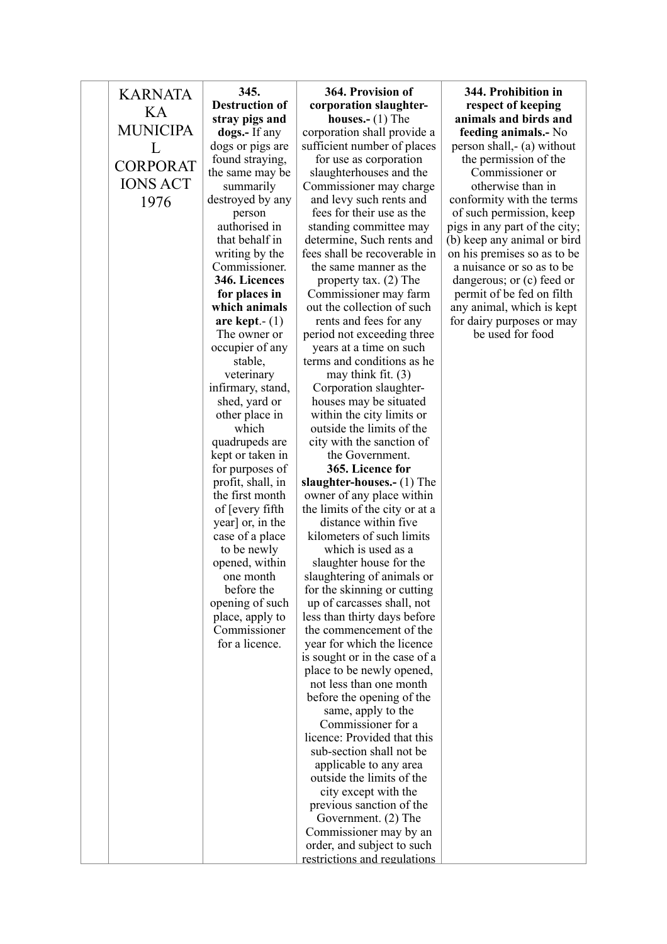| <b>KARNATA</b>  | 345.                               | 364. Provision of                                      |
|-----------------|------------------------------------|--------------------------------------------------------|
| KА              | <b>Destruction of</b>              | corporation slaughter-                                 |
| <b>MUNICIPA</b> | stray pigs and                     | houses.- $(1)$ The                                     |
|                 | dogs.- If any                      | corporation shall provide a                            |
| L               | dogs or pigs are                   | sufficient number of places                            |
| <b>CORPORAT</b> | found straying,<br>the same may be | for use as corporation<br>slaughterhouses and the      |
| <b>IONS ACT</b> | summarily                          | Commissioner may charge                                |
| 1976            | destroyed by any                   | and levy such rents and                                |
|                 | person                             | fees for their use as the                              |
|                 | authorised in                      | standing committee may                                 |
|                 | that behalf in                     | determine, Such rents and                              |
|                 | writing by the                     | fees shall be recoverable in                           |
|                 | Commissioner.                      | the same manner as the                                 |
|                 | 346. Licences                      | property tax. $(2)$ The                                |
|                 | for places in                      | Commissioner may farm                                  |
|                 | which animals                      | out the collection of such                             |
|                 | are kept. $ (1)$                   | rents and fees for any                                 |
|                 | The owner or                       | period not exceeding three                             |
|                 | occupier of any                    | years at a time on such                                |
|                 | stable,<br>veterinary              | terms and conditions as he<br>may think fit. $(3)$     |
|                 | infirmary, stand,                  | Corporation slaughter-                                 |
|                 | shed, yard or                      | houses may be situated                                 |
|                 | other place in                     | within the city limits or                              |
|                 | which                              | outside the limits of the                              |
|                 | quadrupeds are                     | city with the sanction of                              |
|                 | kept or taken in                   | the Government.                                        |
|                 | for purposes of                    | 365. Licence for                                       |
|                 | profit, shall, in                  | slaughter-houses.- $(1)$ The                           |
|                 | the first month                    | owner of any place within                              |
|                 | of [every fifth]                   | the limits of the city or at a<br>distance within five |
|                 | year] or, in the                   | kilometers of such limits                              |
|                 | case of a place<br>to be newly     | which is used as a                                     |
|                 | opened, within                     | slaughter house for the                                |
|                 | one month                          | slaughtering of animals or                             |
|                 | before the                         | for the skinning or cutting                            |
|                 | opening of such                    | up of carcasses shall, not                             |
|                 | place, apply to                    | less than thirty days before                           |
|                 | Commissioner                       | the commencement of the                                |
|                 | for a licence.                     | year for which the licence                             |
|                 |                                    | is sought or in the case of a                          |
|                 |                                    | place to be newly opened,                              |
|                 |                                    | not less than one month                                |
|                 |                                    | before the opening of the                              |
|                 |                                    | same, apply to the<br>Commissioner for a               |
|                 |                                    | licence: Provided that this                            |
|                 |                                    | sub-section shall not be                               |
|                 |                                    | applicable to any area                                 |
|                 |                                    | outside the limits of the                              |
|                 |                                    | city except with the                                   |
|                 |                                    | previous sanction of the                               |
|                 |                                    | Government. (2) The                                    |
|                 |                                    | Commissioner may by an                                 |
|                 |                                    | order, and subject to such                             |
|                 |                                    | restrictions and regulations                           |

## **364. Provision of**  slaughter**houses.-** (1) The all provide a  $\widehat{\text{ref}}$  of places **344. Prohibition in respect of keeping animals and birds and feeding animals.-** No

person shall,- (a) without the permission of the Commissioner or otherwise than in conformity with the terms of such permission, keep pigs in any part of the city; (b) keep any animal or bird on his premises so as to be a nuisance or so as to be dangerous; or (c) feed or permit of be fed on filth any animal, which is kept for dairy purposes or may

be used for food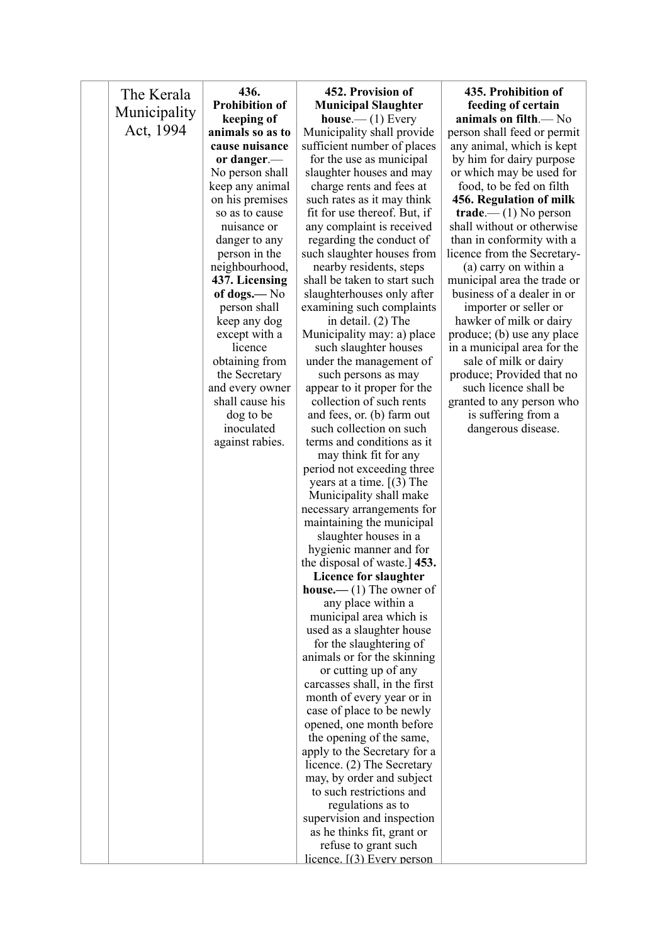| The Kerala   | 436.                            | 452. Provision of                                       | 435. Prohibition of                                  |
|--------------|---------------------------------|---------------------------------------------------------|------------------------------------------------------|
|              | <b>Prohibition of</b>           | <b>Municipal Slaughter</b>                              | feeding of certain                                   |
| Municipality | keeping of                      | house. (1) Every                                        | animals on filth.— No                                |
| Act, 1994    | animals so as to                | Municipality shall provide                              | person shall feed or permit                          |
|              | cause nuisance                  | sufficient number of places                             | any animal, which is kept                            |
|              | or danger.-                     | for the use as municipal                                | by him for dairy purpose                             |
|              | No person shall                 | slaughter houses and may                                | or which may be used for                             |
|              | keep any animal                 | charge rents and fees at                                | food, to be fed on filth                             |
|              | on his premises                 | such rates as it may think                              | 456. Regulation of milk                              |
|              | so as to cause                  | fit for use thereof. But, if                            | $\mathbf{trade.} \rightarrow$ (1) No person          |
|              | nuisance or                     | any complaint is received                               | shall without or otherwise                           |
|              | danger to any                   | regarding the conduct of                                | than in conformity with a                            |
|              | person in the<br>neighbourhood, | such slaughter houses from                              | licence from the Secretary-                          |
|              | 437. Licensing                  | nearby residents, steps<br>shall be taken to start such | (a) carry on within a<br>municipal area the trade or |
|              | of dogs.— $No$                  | slaughterhouses only after                              | business of a dealer in or                           |
|              | person shall                    | examining such complaints                               | importer or seller or                                |
|              | keep any dog                    | in detail. (2) The                                      | hawker of milk or dairy                              |
|              | except with a                   | Municipality may: a) place                              | produce; (b) use any place                           |
|              | licence                         | such slaughter houses                                   | in a municipal area for the                          |
|              | obtaining from                  | under the management of                                 | sale of milk or dairy                                |
|              | the Secretary                   | such persons as may                                     | produce; Provided that no                            |
|              | and every owner                 | appear to it proper for the                             | such licence shall be                                |
|              | shall cause his                 | collection of such rents                                | granted to any person who                            |
|              | dog to be                       | and fees, or. (b) farm out                              | is suffering from a                                  |
|              | inoculated                      | such collection on such                                 | dangerous disease.                                   |
|              | against rabies.                 | terms and conditions as it                              |                                                      |
|              |                                 | may think fit for any                                   |                                                      |
|              |                                 | period not exceeding three                              |                                                      |
|              |                                 | years at a time. $(3)$ The                              |                                                      |
|              |                                 | Municipality shall make                                 |                                                      |
|              |                                 | necessary arrangements for                              |                                                      |
|              |                                 | maintaining the municipal                               |                                                      |
|              |                                 | slaughter houses in a<br>hygienic manner and for        |                                                      |
|              |                                 | the disposal of waste.] 453.                            |                                                      |
|              |                                 | Licence for slaughter                                   |                                                      |
|              |                                 | <b>house.</b> —(1) The owner of                         |                                                      |
|              |                                 | any place within a                                      |                                                      |
|              |                                 | municipal area which is                                 |                                                      |
|              |                                 | used as a slaughter house                               |                                                      |
|              |                                 | for the slaughtering of                                 |                                                      |
|              |                                 | animals or for the skinning                             |                                                      |
|              |                                 | or cutting up of any                                    |                                                      |
|              |                                 | carcasses shall, in the first                           |                                                      |
|              |                                 | month of every year or in                               |                                                      |
|              |                                 | case of place to be newly                               |                                                      |
|              |                                 | opened, one month before                                |                                                      |
|              |                                 | the opening of the same,                                |                                                      |
|              |                                 | apply to the Secretary for a                            |                                                      |
|              |                                 | licence. (2) The Secretary                              |                                                      |
|              |                                 | may, by order and subject<br>to such restrictions and   |                                                      |
|              |                                 | regulations as to                                       |                                                      |
|              |                                 | supervision and inspection                              |                                                      |
|              |                                 | as he thinks fit, grant or                              |                                                      |
|              |                                 | refuse to grant such                                    |                                                      |
|              |                                 | licence. $[(3)$ Every person                            |                                                      |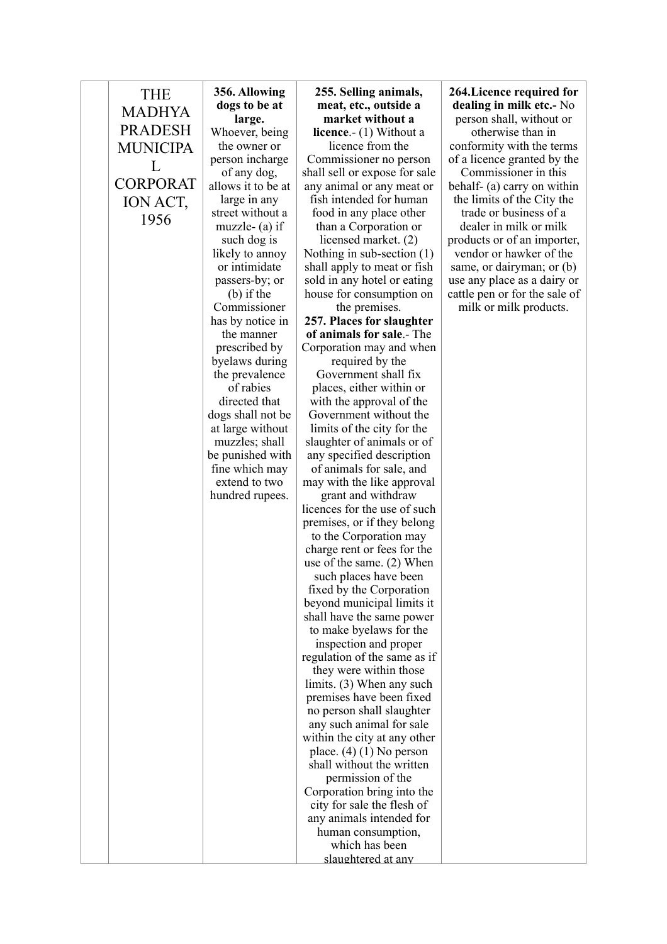| <b>THE</b><br><b>MADHYA</b><br><b>PRADESH</b> | 356. Allowing<br>dogs to be at<br>large.<br>Whoever, being | 255. Selling animals,<br>meat, etc., outside a<br>market without a<br><b>licence.</b> $- (1)$ Without a | 264.Lice<br>dealing<br>person s<br>other |
|-----------------------------------------------|------------------------------------------------------------|---------------------------------------------------------------------------------------------------------|------------------------------------------|
| <b>MUNICIPA</b>                               | the owner or                                               | licence from the                                                                                        | conformi                                 |
|                                               | person incharge                                            | Commissioner no person                                                                                  | of a licen                               |
| L                                             | of any dog,                                                | shall sell or expose for sale                                                                           | Comm                                     |
| <b>CORPORAT</b>                               | allows it to be at                                         | any animal or any meat or                                                                               | behalf- $(\varepsilon$                   |
| ION ACT,                                      | large in any                                               | fish intended for human                                                                                 | the limit                                |
|                                               | street without a                                           | food in any place other                                                                                 | trade o                                  |
| 1956                                          | muzzle- $(a)$ if                                           | than a Corporation or                                                                                   | dealer:                                  |
|                                               | such dog is                                                | licensed market. (2)                                                                                    | products                                 |
|                                               | likely to annoy                                            | Nothing in sub-section $(1)$                                                                            | vendor o                                 |
|                                               | or intimidate                                              | shall apply to meat or fish                                                                             | same, or                                 |
|                                               | passers-by; or                                             | sold in any hotel or eating                                                                             | use any p                                |
|                                               | $(b)$ if the                                               | house for consumption on                                                                                | cattle pen                               |
|                                               | Commissioner                                               | the premises.                                                                                           | milk or                                  |
|                                               | has by notice in                                           | 257. Places for slaughter                                                                               |                                          |
|                                               | the manner                                                 | of animals for sale.- The                                                                               |                                          |
|                                               | prescribed by                                              | Corporation may and when                                                                                |                                          |
|                                               | byelaws during                                             | required by the                                                                                         |                                          |
|                                               | the prevalence<br>of rabies                                | Government shall fix<br>places, either within or                                                        |                                          |
|                                               | directed that                                              | with the approval of the                                                                                |                                          |
|                                               | dogs shall not be                                          | Government without the                                                                                  |                                          |
|                                               | at large without                                           | limits of the city for the                                                                              |                                          |
|                                               | muzzles; shall                                             | slaughter of animals or of                                                                              |                                          |
|                                               | be punished with                                           | any specified description                                                                               |                                          |
|                                               | fine which may                                             | of animals for sale, and                                                                                |                                          |
|                                               | extend to two                                              | may with the like approval                                                                              |                                          |
|                                               | hundred rupees.                                            | grant and withdraw                                                                                      |                                          |
|                                               |                                                            | licences for the use of such                                                                            |                                          |
|                                               |                                                            | premises, or if they belong                                                                             |                                          |
|                                               |                                                            | to the Corporation may                                                                                  |                                          |
|                                               |                                                            | charge rent or fees for the                                                                             |                                          |
|                                               |                                                            | use of the same. $(2)$ When                                                                             |                                          |
|                                               |                                                            | such places have been                                                                                   |                                          |
|                                               |                                                            | fixed by the Corporation                                                                                |                                          |
|                                               |                                                            | beyond municipal limits it<br>shall have the same power                                                 |                                          |
|                                               |                                                            | to make byelaws for the                                                                                 |                                          |
|                                               |                                                            | inspection and proper                                                                                   |                                          |
|                                               |                                                            | regulation of the same as if                                                                            |                                          |
|                                               |                                                            | they were within those                                                                                  |                                          |
|                                               |                                                            | limits. (3) When any such                                                                               |                                          |
|                                               |                                                            | premises have been fixed                                                                                |                                          |
|                                               |                                                            | no person shall slaughter                                                                               |                                          |
|                                               |                                                            | any such animal for sale                                                                                |                                          |
|                                               |                                                            | within the city at any other                                                                            |                                          |
|                                               |                                                            | place. $(4)$ (1) No person                                                                              |                                          |
|                                               |                                                            | shall without the written                                                                               |                                          |
|                                               |                                                            | permission of the                                                                                       |                                          |
|                                               |                                                            | Corporation bring into the                                                                              |                                          |
|                                               |                                                            | city for sale the flesh of                                                                              |                                          |
|                                               |                                                            | any animals intended for                                                                                |                                          |
|                                               |                                                            | human consumption,                                                                                      |                                          |
|                                               |                                                            | which has been                                                                                          |                                          |
|                                               |                                                            | slaughtered at any                                                                                      |                                          |

**2018** required for **in milk etc.**- No shall, without or rwise than in ity with the terms  $\alpha$  granted by the  $\frac{1}{2}$  issioner in this a) carry on within  $\sin$  is of the City the or business of a in milk or milk or of an importer, or hawker of the same, or dairyman; or (b) use any place as a dairy or cattle pen or for the sale of milk products.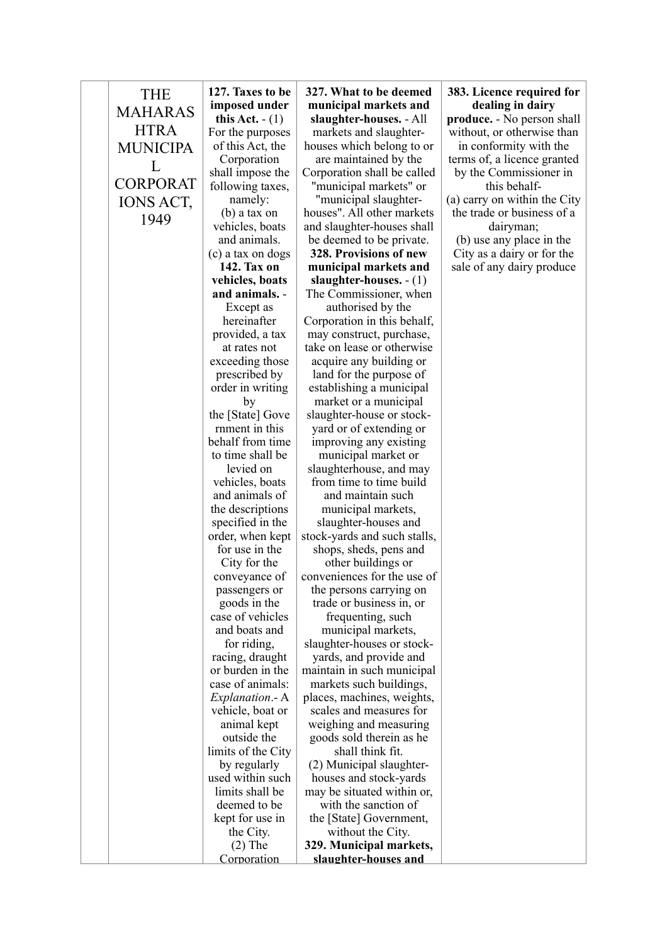| <b>THE</b>      | 127. Taxes to be                    | 327. What to be deemed                               | 383. Licence required for    |
|-----------------|-------------------------------------|------------------------------------------------------|------------------------------|
| <b>MAHARAS</b>  | imposed under                       | municipal markets and                                | dealing in dairy             |
|                 | this Act. $- (1)$                   | slaughter-houses. - All                              | produce. - No person shall   |
| <b>HTRA</b>     | For the purposes                    | markets and slaughter-                               | without, or otherwise than   |
| <b>MUNICIPA</b> | of this Act, the                    | houses which belong to or                            | in conformity with the       |
| L               | Corporation                         | are maintained by the                                | terms of, a licence granted  |
|                 | shall impose the                    | Corporation shall be called                          | by the Commissioner in       |
| <b>CORPORAT</b> | following taxes,                    | "municipal markets" or                               | this behalf-                 |
| IONS ACT,       | namely:                             | "municipal slaughter-                                | (a) carry on within the City |
| 1949            | (b) a tax on                        | houses". All other markets                           | the trade or business of a   |
|                 | vehicles, boats                     | and slaughter-houses shall                           | dairyman;                    |
|                 | and animals.                        | be deemed to be private.                             | (b) use any place in the     |
|                 | (c) a tax on dogs                   | 328. Provisions of new                               | City as a dairy or for the   |
|                 | 142. Tax on                         | municipal markets and                                | sale of any dairy produce    |
|                 | vehicles, boats<br>and animals. -   | slaughter-houses. $- (1)$                            |                              |
|                 |                                     | The Commissioner, when                               |                              |
|                 | Except as<br>hereinafter            | authorised by the<br>Corporation in this behalf,     |                              |
|                 | provided, a tax                     | may construct, purchase,                             |                              |
|                 | at rates not                        | take on lease or otherwise                           |                              |
|                 | exceeding those                     | acquire any building or                              |                              |
|                 | prescribed by                       | land for the purpose of                              |                              |
|                 | order in writing                    | establishing a municipal                             |                              |
|                 | by                                  | market or a municipal                                |                              |
|                 | the [State] Gove                    | slaughter-house or stock-                            |                              |
|                 | rnment in this                      | yard or of extending or                              |                              |
|                 | behalf from time                    | improving any existing                               |                              |
|                 | to time shall be                    | municipal market or                                  |                              |
|                 | levied on                           | slaughterhouse, and may                              |                              |
|                 | vehicles, boats                     | from time to time build                              |                              |
|                 | and animals of                      | and maintain such                                    |                              |
|                 | the descriptions                    | municipal markets,                                   |                              |
|                 | specified in the                    | slaughter-houses and                                 |                              |
|                 | order, when kept                    | stock-yards and such stalls,                         |                              |
|                 | for use in the                      | shops, sheds, pens and                               |                              |
|                 | City for the                        | other buildings or                                   |                              |
|                 | conveyance of                       | conveniences for the use of                          |                              |
|                 | passengers or                       | the persons carrying on                              |                              |
|                 | goods in the                        | trade or business in, or                             |                              |
|                 | case of vehicles                    | frequenting, such                                    |                              |
|                 | and boats and                       | municipal markets,                                   |                              |
|                 | for riding,                         | slaughter-houses or stock-                           |                              |
|                 | racing, draught<br>or burden in the | yards, and provide and<br>maintain in such municipal |                              |
|                 | case of animals:                    | markets such buildings,                              |                              |
|                 | Explanation .- A                    | places, machines, weights,                           |                              |
|                 | vehicle, boat or                    | scales and measures for                              |                              |
|                 | animal kept                         | weighing and measuring                               |                              |
|                 | outside the                         | goods sold therein as he                             |                              |
|                 | limits of the City                  | shall think fit.                                     |                              |
|                 | by regularly                        | (2) Municipal slaughter-                             |                              |
|                 | used within such                    | houses and stock-yards                               |                              |
|                 | limits shall be                     | may be situated within or,                           |                              |
|                 | deemed to be                        | with the sanction of                                 |                              |
|                 | kept for use in                     | the [State] Government,                              |                              |
|                 | the City.                           | without the City.                                    |                              |
|                 | $(2)$ The                           | 329. Municipal markets,                              |                              |
|                 | Corporation                         | slaughter-houses and                                 |                              |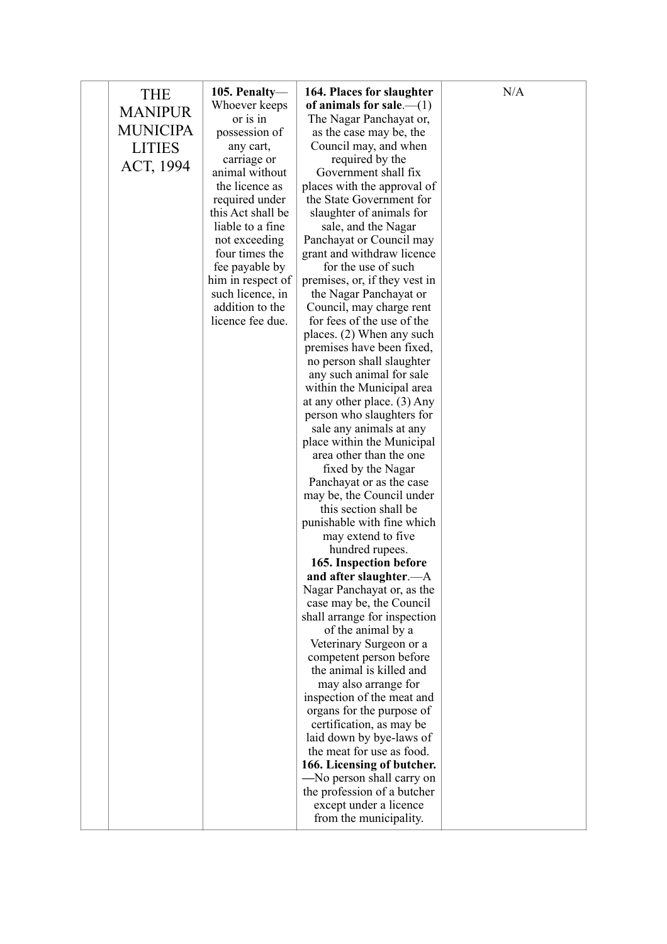| <b>THE</b>      | 105. Penalty—                     | 164. Places for slaughter                             | N/A |
|-----------------|-----------------------------------|-------------------------------------------------------|-----|
|                 | Whoever keeps                     | of animals for sale.— $(1)$                           |     |
| <b>MANIPUR</b>  | or is in                          | The Nagar Panchayat or,                               |     |
| <b>MUNICIPA</b> | possession of                     | as the case may be, the                               |     |
| <b>LITIES</b>   | any cart,                         | Council may, and when                                 |     |
| ACT, 1994       | carriage or                       | required by the                                       |     |
|                 | animal without                    | Government shall fix                                  |     |
|                 | the licence as                    | places with the approval of                           |     |
|                 | required under                    | the State Government for                              |     |
|                 | this Act shall be                 | slaughter of animals for                              |     |
|                 | liable to a fine<br>not exceeding | sale, and the Nagar<br>Panchayat or Council may       |     |
|                 | four times the                    | grant and withdraw licence                            |     |
|                 | fee payable by                    | for the use of such                                   |     |
|                 | him in respect of                 | premises, or, if they vest in                         |     |
|                 | such licence, in                  | the Nagar Panchayat or                                |     |
|                 | addition to the                   | Council, may charge rent                              |     |
|                 | licence fee due.                  | for fees of the use of the                            |     |
|                 |                                   | places. (2) When any such                             |     |
|                 |                                   | premises have been fixed,                             |     |
|                 |                                   | no person shall slaughter                             |     |
|                 |                                   | any such animal for sale                              |     |
|                 |                                   | within the Municipal area                             |     |
|                 |                                   | at any other place. (3) Any                           |     |
|                 |                                   | person who slaughters for<br>sale any animals at any  |     |
|                 |                                   | place within the Municipal                            |     |
|                 |                                   | area other than the one                               |     |
|                 |                                   | fixed by the Nagar                                    |     |
|                 |                                   | Panchayat or as the case                              |     |
|                 |                                   | may be, the Council under                             |     |
|                 |                                   | this section shall be                                 |     |
|                 |                                   | punishable with fine which                            |     |
|                 |                                   | may extend to five                                    |     |
|                 |                                   | hundred rupees.                                       |     |
|                 |                                   | 165. Inspection before                                |     |
|                 |                                   | and after slaughter.—A<br>Nagar Panchayat or, as the  |     |
|                 |                                   | case may be, the Council                              |     |
|                 |                                   | shall arrange for inspection                          |     |
|                 |                                   | of the animal by a                                    |     |
|                 |                                   | Veterinary Surgeon or a                               |     |
|                 |                                   | competent person before                               |     |
|                 |                                   | the animal is killed and                              |     |
|                 |                                   | may also arrange for                                  |     |
|                 |                                   | inspection of the meat and                            |     |
|                 |                                   | organs for the purpose of                             |     |
|                 |                                   | certification, as may be                              |     |
|                 |                                   | laid down by bye-laws of<br>the meat for use as food. |     |
|                 |                                   | 166. Licensing of butcher.                            |     |
|                 |                                   | -No person shall carry on                             |     |
|                 |                                   | the profession of a butcher                           |     |
|                 |                                   | except under a licence                                |     |
|                 |                                   | from the municipality.                                |     |
|                 |                                   |                                                       |     |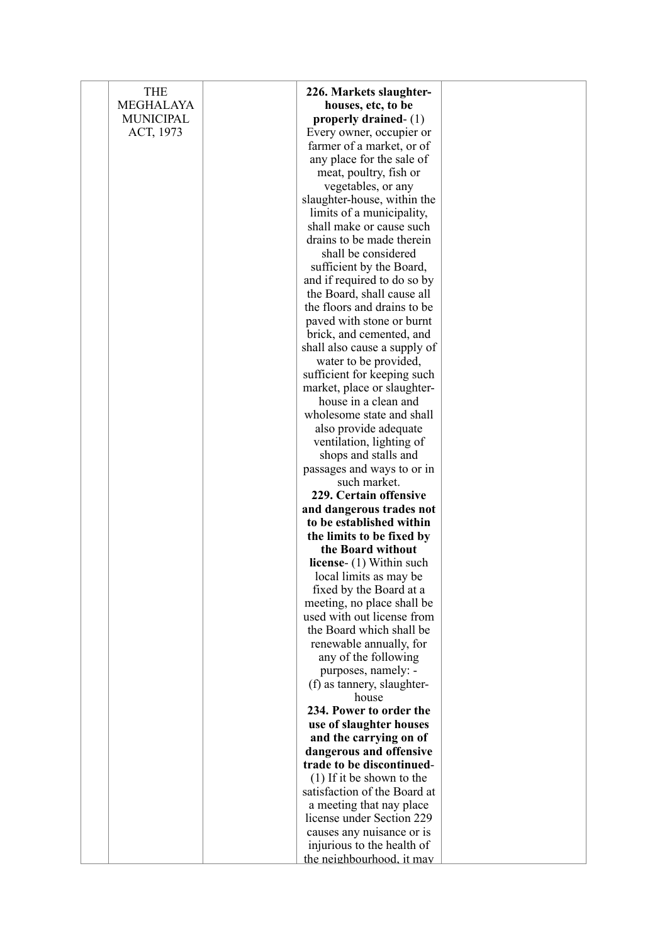| <b>THE</b>       | 226. Markets slaughter-                     |  |
|------------------|---------------------------------------------|--|
| <b>MEGHALAYA</b> | houses, etc, to be                          |  |
| <b>MUNICIPAL</b> | properly drained- $(1)$                     |  |
| ACT, 1973        | Every owner, occupier or                    |  |
|                  | farmer of a market, or of                   |  |
|                  | any place for the sale of                   |  |
|                  | meat, poultry, fish or                      |  |
|                  | vegetables, or any                          |  |
|                  | slaughter-house, within the                 |  |
|                  | limits of a municipality,                   |  |
|                  | shall make or cause such                    |  |
|                  | drains to be made therein                   |  |
|                  | shall be considered                         |  |
|                  | sufficient by the Board,                    |  |
|                  | and if required to do so by                 |  |
|                  | the Board, shall cause all                  |  |
|                  | the floors and drains to be                 |  |
|                  | paved with stone or burnt                   |  |
|                  | brick, and cemented, and                    |  |
|                  | shall also cause a supply of                |  |
|                  | water to be provided,                       |  |
|                  | sufficient for keeping such                 |  |
|                  | market, place or slaughter-                 |  |
|                  | house in a clean and                        |  |
|                  | wholesome state and shall                   |  |
|                  | also provide adequate                       |  |
|                  | ventilation, lighting of                    |  |
|                  | shops and stalls and                        |  |
|                  | passages and ways to or in                  |  |
|                  | such market.                                |  |
|                  | 229. Certain offensive                      |  |
|                  | and dangerous trades not                    |  |
|                  | to be established within                    |  |
|                  | the limits to be fixed by                   |  |
|                  | the Board without                           |  |
|                  | license- (1) Within such                    |  |
|                  | local limits as may be                      |  |
|                  | fixed by the Board at a                     |  |
|                  | meeting, no place shall be                  |  |
|                  | used with out license from                  |  |
|                  | the Board which shall be                    |  |
|                  | renewable annually, for                     |  |
|                  | any of the following<br>purposes, namely: - |  |
|                  | (f) as tannery, slaughter-                  |  |
|                  | house                                       |  |
|                  | 234. Power to order the                     |  |
|                  | use of slaughter houses                     |  |
|                  | and the carrying on of                      |  |
|                  | dangerous and offensive                     |  |
|                  | trade to be discontinued-                   |  |
|                  | $(1)$ If it be shown to the                 |  |
|                  | satisfaction of the Board at                |  |
|                  | a meeting that nay place                    |  |
|                  | license under Section 229                   |  |
|                  | causes any nuisance or is                   |  |
|                  | injurious to the health of                  |  |
|                  | the neighbourhood, it may                   |  |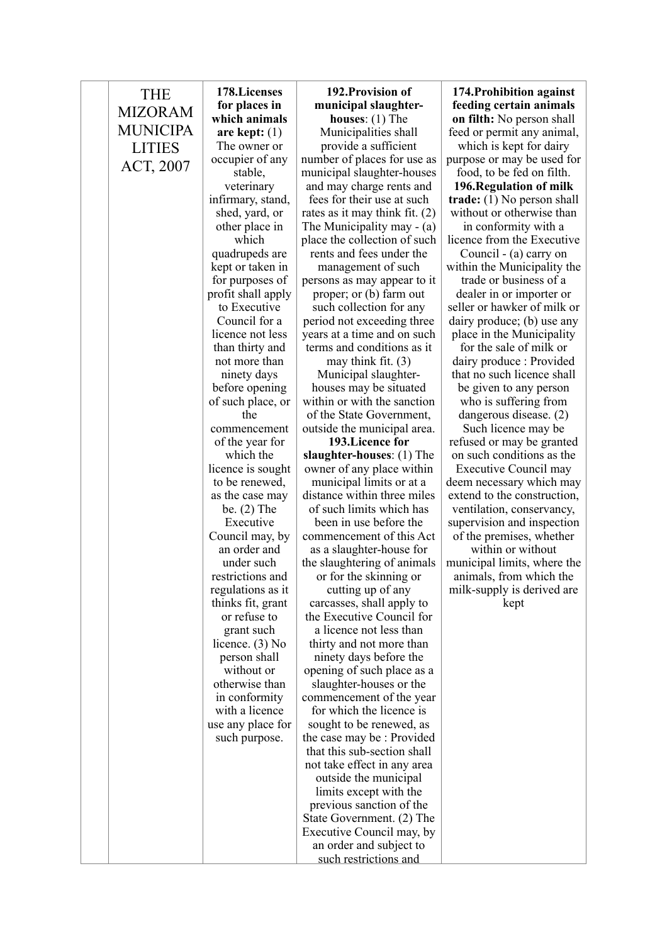| <b>THE</b>      | 178. Licenses                       | 192. Provision of                                              | 174. Prohibition against                                  |
|-----------------|-------------------------------------|----------------------------------------------------------------|-----------------------------------------------------------|
| <b>MIZORAM</b>  | for places in                       | municipal slaughter-                                           | feeding certain animals                                   |
| <b>MUNICIPA</b> | which animals                       | <b>houses:</b> $(1)$ The                                       | <b>on filth:</b> No person shall                          |
|                 | are kept: $(1)$                     | Municipalities shall                                           | feed or permit any animal,                                |
| <b>LITIES</b>   | The owner or                        | provide a sufficient                                           | which is kept for dairy                                   |
| ACT, 2007       | occupier of any                     | number of places for use as                                    | purpose or may be used for                                |
|                 | stable,                             | municipal slaughter-houses                                     | food, to be fed on filth.                                 |
|                 | veterinary                          | and may charge rents and<br>fees for their use at such         | 196. Regulation of milk                                   |
|                 | infirmary, stand,<br>shed, yard, or |                                                                | trade: $(1)$ No person shall<br>without or otherwise than |
|                 | other place in                      | rates as it may think fit. $(2)$<br>The Municipality may - (a) | in conformity with a                                      |
|                 | which                               | place the collection of such                                   | licence from the Executive                                |
|                 | quadrupeds are                      | rents and fees under the                                       | Council - (a) carry on                                    |
|                 | kept or taken in                    | management of such                                             | within the Municipality the                               |
|                 | for purposes of                     | persons as may appear to it                                    | trade or business of a                                    |
|                 | profit shall apply                  | proper; or (b) farm out                                        | dealer in or importer or                                  |
|                 | to Executive                        | such collection for any                                        | seller or hawker of milk or                               |
|                 | Council for a                       | period not exceeding three                                     | dairy produce; (b) use any                                |
|                 | licence not less                    | years at a time and on such                                    | place in the Municipality                                 |
|                 | than thirty and                     | terms and conditions as it                                     | for the sale of milk or                                   |
|                 | not more than                       | may think fit. $(3)$                                           | dairy produce: Provided                                   |
|                 | ninety days                         | Municipal slaughter-                                           | that no such licence shall                                |
|                 | before opening                      | houses may be situated                                         | be given to any person                                    |
|                 | of such place, or                   | within or with the sanction                                    | who is suffering from                                     |
|                 | the                                 | of the State Government,                                       | dangerous disease. (2)                                    |
|                 | commencement                        | outside the municipal area.                                    | Such licence may be                                       |
|                 | of the year for                     | 193. Licence for                                               | refused or may be granted                                 |
|                 | which the<br>licence is sought      | slaughter-houses: (1) The                                      | on such conditions as the                                 |
|                 | to be renewed,                      | owner of any place within<br>municipal limits or at a          | Executive Council may<br>deem necessary which may         |
|                 | as the case may                     | distance within three miles                                    | extend to the construction,                               |
|                 | be. $(2)$ The                       | of such limits which has                                       | ventilation, conservancy,                                 |
|                 | Executive                           | been in use before the                                         | supervision and inspection                                |
|                 | Council may, by                     | commencement of this Act                                       | of the premises, whether                                  |
|                 | an order and                        | as a slaughter-house for                                       | within or without                                         |
|                 | under such                          | the slaughtering of animals                                    | municipal limits, where the                               |
|                 | restrictions and                    | or for the skinning or                                         | animals, from which the                                   |
|                 | regulations as it                   | cutting up of any                                              | milk-supply is derived are                                |
|                 | thinks fit, grant                   | carcasses, shall apply to                                      | kept                                                      |
|                 | or refuse to                        | the Executive Council for                                      |                                                           |
|                 | grant such                          | a licence not less than                                        |                                                           |
|                 | licence. $(3)$ No                   | thirty and not more than                                       |                                                           |
|                 | person shall<br>without or          | ninety days before the                                         |                                                           |
|                 | otherwise than                      | opening of such place as a<br>slaughter-houses or the          |                                                           |
|                 | in conformity                       | commencement of the year                                       |                                                           |
|                 | with a licence                      | for which the licence is                                       |                                                           |
|                 | use any place for                   | sought to be renewed, as                                       |                                                           |
|                 | such purpose.                       | the case may be : Provided                                     |                                                           |
|                 |                                     | that this sub-section shall                                    |                                                           |
|                 |                                     | not take effect in any area                                    |                                                           |
|                 |                                     | outside the municipal                                          |                                                           |
|                 |                                     | limits except with the                                         |                                                           |
|                 |                                     | previous sanction of the                                       |                                                           |
|                 |                                     | State Government. (2) The                                      |                                                           |
|                 |                                     | Executive Council may, by                                      |                                                           |
|                 |                                     | an order and subject to                                        |                                                           |
|                 |                                     | such restrictions and                                          |                                                           |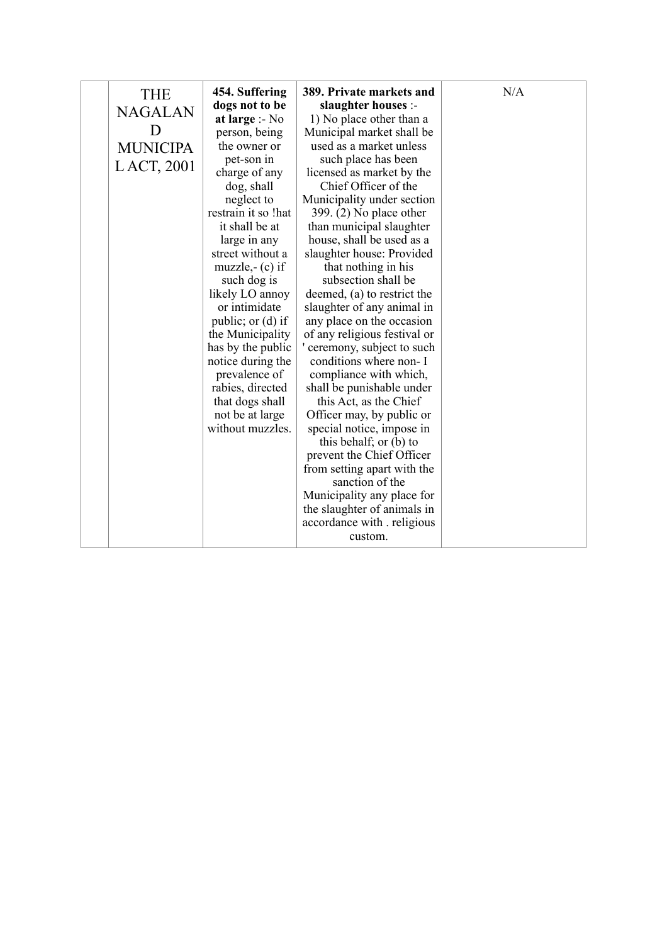|  | <b>THE</b><br><b>NAGALAN</b><br>D<br><b>MUNICIPA</b><br>LACT, 2001 | 454. Suffering<br>dogs not to be<br>at large :- No<br>person, being<br>the owner or<br>pet-son in<br>charge of any<br>dog, shall<br>neglect to<br>restrain it so !hat<br>it shall be at<br>large in any<br>street without a<br>muzzle,- $(c)$ if<br>such dog is<br>likely LO annoy<br>or intimidate<br>public; or $(d)$ if<br>the Municipality<br>has by the public<br>notice during the<br>prevalence of<br>rabies, directed<br>that dogs shall<br>not be at large<br>without muzzles. | 389. Private markets and<br>slaughter houses :-<br>1) No place other than a<br>Municipal market shall be<br>used as a market unless<br>such place has been<br>licensed as market by the<br>Chief Officer of the<br>Municipality under section<br>$399. (2)$ No place other<br>than municipal slaughter<br>house, shall be used as a<br>slaughter house: Provided<br>that nothing in his<br>subsection shall be<br>deemed, (a) to restrict the<br>slaughter of any animal in<br>any place on the occasion<br>of any religious festival or<br>ceremony, subject to such<br>conditions where non- I<br>compliance with which,<br>shall be punishable under<br>this Act, as the Chief<br>Officer may, by public or<br>special notice, impose in<br>this behalf; or (b) to<br>prevent the Chief Officer<br>from setting apart with the<br>sanction of the<br>Municipality any place for<br>the slaughter of animals in<br>accordance with religious<br>custom. | N/A |
|--|--------------------------------------------------------------------|-----------------------------------------------------------------------------------------------------------------------------------------------------------------------------------------------------------------------------------------------------------------------------------------------------------------------------------------------------------------------------------------------------------------------------------------------------------------------------------------|-----------------------------------------------------------------------------------------------------------------------------------------------------------------------------------------------------------------------------------------------------------------------------------------------------------------------------------------------------------------------------------------------------------------------------------------------------------------------------------------------------------------------------------------------------------------------------------------------------------------------------------------------------------------------------------------------------------------------------------------------------------------------------------------------------------------------------------------------------------------------------------------------------------------------------------------------------------|-----|
|--|--------------------------------------------------------------------|-----------------------------------------------------------------------------------------------------------------------------------------------------------------------------------------------------------------------------------------------------------------------------------------------------------------------------------------------------------------------------------------------------------------------------------------------------------------------------------------|-----------------------------------------------------------------------------------------------------------------------------------------------------------------------------------------------------------------------------------------------------------------------------------------------------------------------------------------------------------------------------------------------------------------------------------------------------------------------------------------------------------------------------------------------------------------------------------------------------------------------------------------------------------------------------------------------------------------------------------------------------------------------------------------------------------------------------------------------------------------------------------------------------------------------------------------------------------|-----|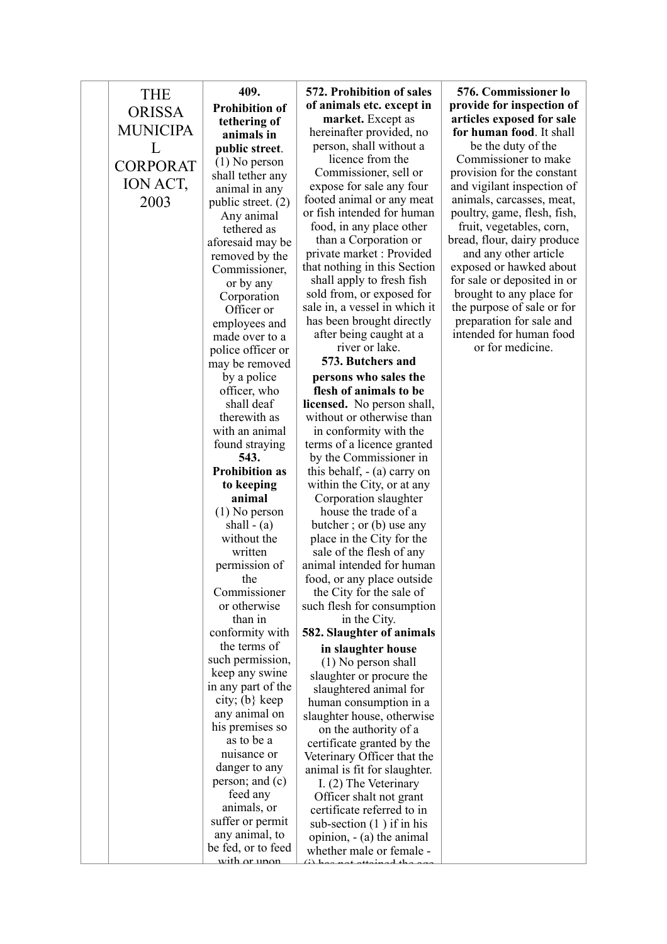| THE             | 409.                                 | 572. Prohibitio                    |
|-----------------|--------------------------------------|------------------------------------|
|                 | <b>Prohibition of</b>                | of animals etc.                    |
| <b>ORISSA</b>   | tethering of                         | market. Ex                         |
| <b>MUNICIPA</b> | animals in                           | hereinafter pro                    |
| L               | public street.                       | person, shall                      |
| <b>CORPORAT</b> | $(1)$ No person                      | licence fro                        |
|                 | shall tether any                     | Commissione                        |
| ION ACT,        | animal in any                        | expose for sale                    |
| 2003            | public street. (2)                   | footed animal o                    |
|                 | Any animal                           | or fish intended                   |
|                 | tethered as                          | food, in any pl                    |
|                 | aforesaid may be                     | than a Corpo:                      |
|                 | removed by the                       | private market                     |
|                 | Commissioner,                        | that nothing in t                  |
|                 | or by any                            | shall apply to                     |
|                 | Corporation                          | sold from, or ex                   |
|                 | Officer or                           | sale in, a vessel                  |
|                 | employees and                        | has been broug                     |
|                 | made over to a                       | after being ca<br>river or l       |
|                 | police officer or                    | 573. Butche                        |
|                 | may be removed                       |                                    |
|                 | by a police                          | persons who                        |
|                 | officer, who<br>shall deaf           | flesh of anim                      |
|                 | therewith as                         | licensed. No po<br>without or othe |
|                 | with an animal                       | in conformity                      |
|                 | found straying                       | terms of a licen                   |
|                 | 543.                                 | by the Commi                       |
|                 | <b>Prohibition as</b>                | this behalf, $-$ (a                |
|                 | to keeping                           | within the City                    |
|                 | animal                               | Corporation s                      |
|                 | $(1)$ No person                      | house the tra                      |
|                 | shall $-$ (a)                        | butcher; or (b)                    |
|                 | without the                          | place in the Ci                    |
|                 | written                              | sale of the fle                    |
|                 | permission of                        | animal intended                    |
|                 | the                                  | food, or any pla                   |
|                 | Commissioner                         | the City for the                   |
|                 | or otherwise                         | such flesh for co                  |
|                 | than in                              | in the C                           |
|                 | conformity with                      | 582. Slaughter                     |
|                 | the terms of                         | in slaughter                       |
|                 | such permission,                     | $(1)$ No perso                     |
|                 | keep any swine                       | slaughter or pr                    |
|                 | in any part of the                   | slaughtered ar                     |
|                 | city; $(b)$ keep                     | human consum                       |
|                 | any animal on                        | slaughter house                    |
|                 | his premises so                      | on the author                      |
|                 | as to be a                           | certificate gran                   |
|                 | nuisance or                          | Veterinary Offic                   |
|                 | danger to any                        | animal is fit for                  |
|                 | person; and $(c)$                    | I. $(2)$ The Ve                    |
|                 | feed any                             | Officer shalt i                    |
|                 | animals, or                          | certificate refe                   |
|                 | suffer or permit                     | sub-section (1)                    |
|                 | any animal, to<br>be fed, or to feed | opinion, - (a) t                   |
|                 | <u>with or unon</u>                  | whether male o<br>صمطت<br>         |
|                 |                                      |                                    |

## **57. produce except** in **marker.** *cept* as here *no*

without a  $\mathop{\mathrm{im}}$  the er, sell or

e any four or any meat for human lace other

ration or · Provided this Section fresh fish xposed for in which it ht directly ught at a

 $l$ ake.

**573. Butchers and**  sales the **flages** to be **licensed.** No person shall, erwise than with the nce granted issioner in a) carry on  $w<sub>g</sub>$ , or at any slaughter

ade of a b) use any ity for the sh of any for human ace outside he sale of onsumption

'ity.  $\overline{\textbf{of}}$  animals

**in s** house on shall

rocure the nimal for nption in a , otherwise

rity of a ted by the cer that the slaughter.

eterinary not grant erred to in ) if in his the animal or female - $\sim$  d  $\pm$ 

**576. Commissioner lo provide for inspection of articles exposed for sale for human food**. It shall

be the duty of the Commissioner to make provision for the constant and vigilant inspection of animals, carcasses, meat, poultry, game, flesh, fish,

fruit, vegetables, corn, bread, flour, dairy produce and any other article

exposed or hawked about for sale or deposited in or brought to any place for the purpose of sale or for preparation for sale and intended for human food or for medicine.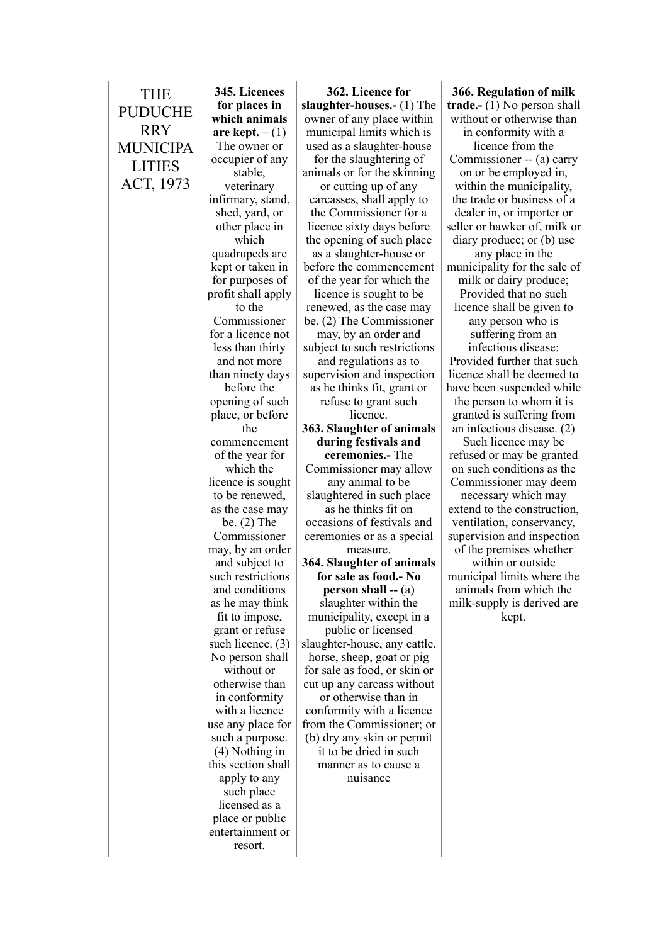| <b>THE</b>      | 345. Licences                         | 362. Licence for                                     | 366. Regulation of milk                               |
|-----------------|---------------------------------------|------------------------------------------------------|-------------------------------------------------------|
|                 | for places in                         | slaughter-houses.- (1) The                           | <b>trade.-</b> $(1)$ No person shall                  |
| <b>PUDUCHE</b>  | which animals                         | owner of any place within                            | without or otherwise than                             |
| <b>RRY</b>      | are kept. $-(1)$                      | municipal limits which is                            | in conformity with a                                  |
| <b>MUNICIPA</b> | The owner or                          | used as a slaughter-house                            | licence from the                                      |
| <b>LITIES</b>   | occupier of any                       | for the slaughtering of                              | Commissioner -- (a) carry                             |
|                 | stable,                               | animals or for the skinning                          | on or be employed in,                                 |
| ACT, 1973       | veterinary                            | or cutting up of any                                 | within the municipality,                              |
|                 | infirmary, stand,                     | carcasses, shall apply to                            | the trade or business of a                            |
|                 | shed, yard, or                        | the Commissioner for a                               | dealer in, or importer or                             |
|                 | other place in                        | licence sixty days before                            | seller or hawker of, milk or                          |
|                 | which                                 | the opening of such place                            | diary produce; or (b) use                             |
|                 | quadrupeds are                        | as a slaughter-house or                              | any place in the                                      |
|                 | kept or taken in                      | before the commencement                              | municipality for the sale of                          |
|                 | for purposes of<br>profit shall apply | of the year for which the<br>licence is sought to be | milk or dairy produce;<br>Provided that no such       |
|                 | to the                                | renewed, as the case may                             | licence shall be given to                             |
|                 | Commissioner                          | be. (2) The Commissioner                             | any person who is                                     |
|                 | for a licence not                     | may, by an order and                                 | suffering from an                                     |
|                 | less than thirty                      | subject to such restrictions                         | infectious disease:                                   |
|                 | and not more                          | and regulations as to                                | Provided further that such                            |
|                 | than ninety days                      | supervision and inspection                           | licence shall be deemed to                            |
|                 | before the                            | as he thinks fit, grant or                           | have been suspended while                             |
|                 | opening of such                       | refuse to grant such                                 | the person to whom it is                              |
|                 | place, or before                      | licence.                                             | granted is suffering from                             |
|                 | the                                   | 363. Slaughter of animals                            | an infectious disease. (2)                            |
|                 | commencement                          | during festivals and                                 | Such licence may be                                   |
|                 | of the year for                       | ceremonies.- The                                     | refused or may be granted                             |
|                 | which the                             | Commissioner may allow                               | on such conditions as the                             |
|                 | licence is sought                     | any animal to be                                     | Commissioner may deem                                 |
|                 | to be renewed,                        | slaughtered in such place                            | necessary which may                                   |
|                 | as the case may                       | as he thinks fit on                                  | extend to the construction,                           |
|                 | be. $(2)$ The                         | occasions of festivals and                           | ventilation, conservancy,                             |
|                 | Commissioner                          | ceremonies or as a special                           | supervision and inspection<br>of the premises whether |
|                 | may, by an order<br>and subject to    | measure.<br>364. Slaughter of animals                | within or outside                                     |
|                 | such restrictions                     | for sale as food. No                                 | municipal limits where the                            |
|                 | and conditions                        | <b>person shall</b> -- $(a)$                         | animals from which the                                |
|                 | as he may think                       | slaughter within the                                 | milk-supply is derived are                            |
|                 | fit to impose,                        | municipality, except in a                            | kept.                                                 |
|                 | grant or refuse                       | public or licensed                                   |                                                       |
|                 | such licence. $(3)$                   | slaughter-house, any cattle,                         |                                                       |
|                 | No person shall                       | horse, sheep, goat or pig                            |                                                       |
|                 | without or                            | for sale as food, or skin or                         |                                                       |
|                 | otherwise than                        | cut up any carcass without                           |                                                       |
|                 | in conformity                         | or otherwise than in                                 |                                                       |
|                 | with a licence                        | conformity with a licence                            |                                                       |
|                 | use any place for                     | from the Commissioner; or                            |                                                       |
|                 | such a purpose.                       | (b) dry any skin or permit                           |                                                       |
|                 | $(4)$ Nothing in                      | it to be dried in such                               |                                                       |
|                 | this section shall                    | manner as to cause a                                 |                                                       |
|                 | apply to any                          | nuisance                                             |                                                       |
|                 | such place                            |                                                      |                                                       |
|                 | licensed as a                         |                                                      |                                                       |
|                 | place or public<br>entertainment or   |                                                      |                                                       |
|                 | resort.                               |                                                      |                                                       |
|                 |                                       |                                                      |                                                       |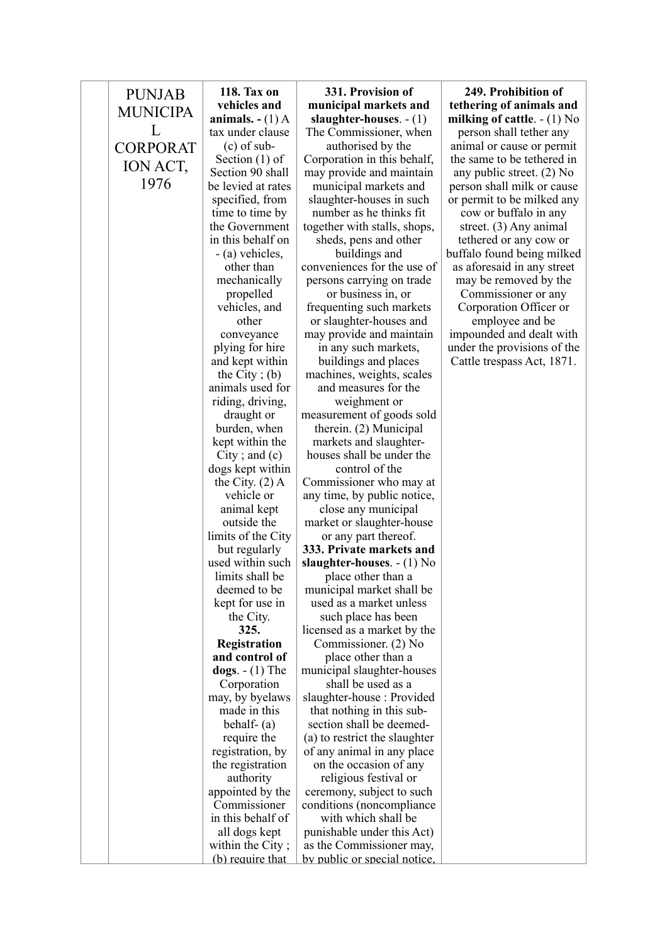| <b>PUNJAB</b>   | 118. Tax on                     | 331. Provision of                                  | 249. Prohibition of           |
|-----------------|---------------------------------|----------------------------------------------------|-------------------------------|
|                 | vehicles and                    | municipal markets and                              | tethering of animals and      |
| <b>MUNICIPA</b> | animals. $- (1)$ A              | slaughter-houses. $- (1)$                          | milking of cattle. $- (1)$ No |
| L               | tax under clause                | The Commissioner, when                             | person shall tether any       |
| <b>CORPORAT</b> | $(c)$ of sub-                   | authorised by the                                  | animal or cause or permit     |
|                 | Section $(1)$ of                | Corporation in this behalf,                        | the same to be tethered in    |
| ION ACT,        | Section 90 shall                | may provide and maintain                           | any public street. $(2)$ No   |
| 1976            | be levied at rates              | municipal markets and                              | person shall milk or cause    |
|                 | specified, from                 | slaughter-houses in such                           | or permit to be milked any    |
|                 | time to time by                 | number as he thinks fit.                           | cow or buffalo in any         |
|                 | the Government                  | together with stalls, shops,                       | street. (3) Any animal        |
|                 | in this behalf on               | sheds, pens and other                              | tethered or any cow or        |
|                 | - (a) vehicles,                 | buildings and                                      | buffalo found being milked    |
|                 | other than                      | conveniences for the use of                        | as aforesaid in any street    |
|                 | mechanically                    | persons carrying on trade                          | may be removed by the         |
|                 | propelled                       | or business in, or                                 | Commissioner or any           |
|                 | vehicles, and                   | frequenting such markets                           | Corporation Officer or        |
|                 | other                           | or slaughter-houses and                            | employee and be               |
|                 | conveyance                      | may provide and maintain                           | impounded and dealt with      |
|                 | plying for hire                 | in any such markets,                               | under the provisions of the   |
|                 | and kept within                 | buildings and places                               | Cattle trespass Act, 1871.    |
|                 | the City; $(b)$                 | machines, weights, scales                          |                               |
|                 | animals used for                | and measures for the                               |                               |
|                 | riding, driving,                | weighment or                                       |                               |
|                 | draught or                      | measurement of goods sold                          |                               |
|                 | burden, when                    | therein. (2) Municipal                             |                               |
|                 | kept within the                 | markets and slaughter-                             |                               |
|                 | $City$ ; and $(c)$              | houses shall be under the                          |                               |
|                 | dogs kept within                | control of the                                     |                               |
|                 | the City. $(2)$ A<br>vehicle or | Commissioner who may at                            |                               |
|                 | animal kept                     | any time, by public notice,<br>close any municipal |                               |
|                 | outside the                     | market or slaughter-house                          |                               |
|                 | limits of the City              | or any part thereof.                               |                               |
|                 | but regularly                   | 333. Private markets and                           |                               |
|                 | used within such                | slaughter-houses. $- (1)$ No                       |                               |
|                 | limits shall be                 | place other than a                                 |                               |
|                 | deemed to be                    | municipal market shall be                          |                               |
|                 | kept for use in                 | used as a market unless                            |                               |
|                 | the City.                       | such place has been                                |                               |
|                 | 325.                            | licensed as a market by the                        |                               |
|                 | <b>Registration</b>             | Commissioner. (2) No                               |                               |
|                 | and control of                  | place other than a                                 |                               |
|                 | $\text{dogs.} - (1)$ The        | municipal slaughter-houses                         |                               |
|                 | Corporation                     | shall be used as a                                 |                               |
|                 | may, by byelaws                 | slaughter-house: Provided                          |                               |
|                 | made in this                    | that nothing in this sub-                          |                               |
|                 | behalf- $(a)$                   | section shall be deemed-                           |                               |
|                 | require the                     | (a) to restrict the slaughter                      |                               |
|                 | registration, by                | of any animal in any place                         |                               |
|                 | the registration                | on the occasion of any                             |                               |
|                 | authority                       | religious festival or                              |                               |
|                 | appointed by the                | ceremony, subject to such                          |                               |
|                 | Commissioner                    | conditions (noncompliance)                         |                               |
|                 | in this behalf of               | with which shall be                                |                               |
|                 | all dogs kept                   | punishable under this Act)                         |                               |
|                 | within the City;                | as the Commissioner may,                           |                               |
|                 | (b) require that                | by public or special notice.                       |                               |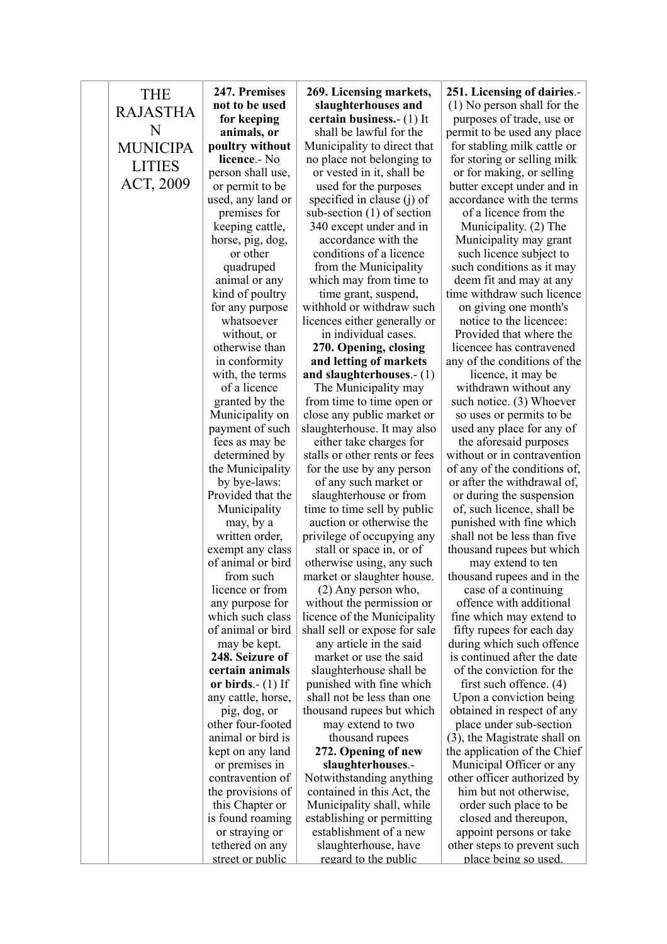| <b>THE</b>      | 247. Premises                     | 269. Licensing markets,                                  | 251. Licens               |
|-----------------|-----------------------------------|----------------------------------------------------------|---------------------------|
| <b>RAJASTHA</b> | not to be used                    | slaughterhouses and                                      | $(1)$ No pers             |
|                 | for keeping                       | <b>certain business.</b> (1) It                          | purposes o                |
| N               | animals, or                       | shall be lawful for the                                  | permit to be              |
| <b>MUNICIPA</b> | poultry without                   | Municipality to direct that                              | for stabling              |
| <b>LITIES</b>   | licence.- No                      | no place not belonging to                                | for storing               |
|                 | person shall use,                 | or vested in it, shall be                                | or for mak                |
| ACT, 2009       | or permit to be                   | used for the purposes                                    | butter excep              |
|                 | used, any land or                 | specified in clause (j) of                               | accordance                |
|                 | premises for                      | sub-section $(1)$ of section                             | of a licer                |
|                 | keeping cattle,                   | 340 except under and in                                  | Municipa                  |
|                 | horse, pig, dog,                  | accordance with the                                      | Municipal                 |
|                 | or other                          | conditions of a licence                                  | such licer                |
|                 | quadruped                         | from the Municipality                                    | such condit               |
|                 | animal or any                     | which may from time to                                   | deem fit ar               |
|                 | kind of poultry                   | time grant, suspend,                                     | time withdra              |
|                 | for any purpose                   | withhold or withdraw such                                | on giving                 |
|                 | whatsoever                        | licences either generally or                             | notice to                 |
|                 | without, or                       | in individual cases.                                     | Provided t                |
|                 | otherwise than                    | 270. Opening, closing                                    | licencee ha               |
|                 | in conformity                     | and letting of markets                                   | any of the co             |
|                 | with, the terms                   | and slaughterhouses. $-(1)$                              | licence                   |
|                 | of a licence                      | The Municipality may                                     | withdrawn                 |
|                 | granted by the                    | from time to time open or                                | such notice               |
|                 | Municipality on                   | close any public market or                               | so uses or                |
|                 | payment of such                   | slaughterhouse. It may also                              | used any pl<br>the afores |
|                 | fees as may be                    | either take charges for<br>stalls or other rents or fees | without or in             |
|                 | determined by<br>the Municipality | for the use by any person                                | of any of the             |
|                 |                                   |                                                          | or after the              |
|                 | by bye-laws:<br>Provided that the | of any such market or<br>slaughterhouse or from          | or during t               |
|                 | Municipality                      | time to time sell by public                              | of, such lic              |
|                 | may, by a                         | auction or otherwise the                                 | punished w                |
|                 | written order,                    | privilege of occupying any                               | shall not be              |
|                 | exempt any class                  | stall or space in, or of                                 | thousand ru               |
|                 | of animal or bird                 | otherwise using, any such                                | may ex                    |
|                 | from such                         | market or slaughter house.                               | thousand ru               |
|                 | licence or from                   | $(2)$ Any person who,                                    | case of a                 |
|                 | any purpose for                   | without the permission or                                | offence w                 |
|                 | which such class                  | licence of the Municipality                              | fine which                |
|                 | of animal or bird                 | shall sell or expose for sale                            | fifty rupee               |
|                 | may be kept.                      | any article in the said                                  | during whic               |
|                 | 248. Seizure of                   | market or use the said                                   | is continued              |
|                 | certain animals                   | slaughterhouse shall be                                  | of the con                |
|                 | or birds. $-$ (1) If              | punished with fine which                                 | first such                |
|                 | any cattle, horse,                | shall not be less than one                               | Upon a con                |
|                 | pig, dog, or                      | thousand rupees but which                                | obtained in               |
|                 | other four-footed                 | may extend to two                                        | place unde                |
|                 | animal or bird is                 | thousand rupees                                          | $(3)$ , the Mag           |
|                 | kept on any land                  | 272. Opening of new                                      | the applicati             |
|                 | or premises in                    | slaughterhouses.-                                        | Municipal                 |
|                 | contravention of                  | Notwithstanding anything                                 | other office.             |
|                 | the provisions of                 | contained in this Act, the                               | him but n                 |
|                 | this Chapter or                   | Municipality shall, while                                | order suc                 |
|                 | is found roaming                  | establishing or permitting                               | closed an                 |
|                 | or straying or                    | establishment of a new                                   | appoint pe                |
|                 | tethered on any                   | slaughterhouse, have                                     | other steps t             |
|                 | street or public                  | regard to the public                                     | <u>place be</u>           |

**ing of dairies.**on shall for the f trade, use or used any place r milk cattle or or selling milk  $\sin \theta$ , or selling pt under and in with the terms

nce from the ality.  $(2)$  The lity may grant nce subject to tions as it may nd may at any aw such licence one month's

the licencee: that where the s contravened onditions of the

 $\epsilon$ , it may be n without any  $\mathbf{e}$ . (3) Whoever permits to be ace for any of

said purposes n contravention e conditions of. withdrawal of, the suspension  $c$ ence, shall be  $v$ ith fine which e less than five nees but which

 $t$  tend to ten pees and in the

 $\overline{\text{c}}$  continuing ith additional may extend to s for each day  $ch$  such offence d after the date viction for the

offence.  $(4)$ nviction being respect of any er sub-section eistrate shall on ion of the Chief Officer or any r authorized by ot otherwise,  $\Phi$  be the place to be d thereupon. ersons or take to prevent such ing so used.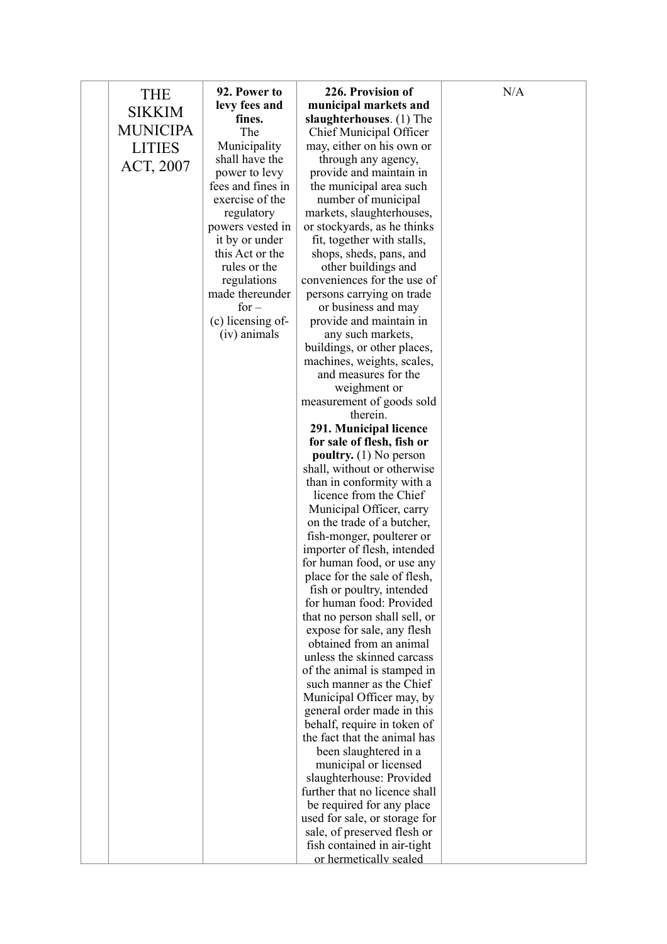| levy fees and<br>municipal markets and<br><b>SIKKIM</b><br>fines.<br>slaughterhouses. (1) The<br><b>MUNICIPA</b><br>The<br>Chief Municipal Officer<br>Municipality<br>may, either on his own or<br><b>LITIES</b><br>shall have the<br>through any agency,<br>ACT, 2007<br>power to levy<br>provide and maintain in<br>fees and fines in<br>the municipal area such<br>exercise of the<br>number of municipal<br>regulatory<br>markets, slaughterhouses,<br>powers vested in<br>or stockyards, as he thinks<br>it by or under<br>fit, together with stalls,<br>this Act or the<br>shops, sheds, pans, and<br>rules or the<br>other buildings and<br>regulations<br>conveniences for the use of<br>made thereunder<br>persons carrying on trade<br>$for -$<br>or business and may<br>(c) licensing of-<br>provide and maintain in<br>(iv) animals<br>any such markets,<br>buildings, or other places,<br>machines, weights, scales,<br>and measures for the<br>weighment or<br>measurement of goods sold<br>therein.<br>291. Municipal licence<br>for sale of flesh, fish or<br>poultry. $(1)$ No person<br>shall, without or otherwise<br>than in conformity with a<br>licence from the Chief<br>Municipal Officer, carry<br>on the trade of a butcher,<br>fish-monger, poulterer or<br>importer of flesh, intended<br>for human food, or use any<br>place for the sale of flesh,<br>fish or poultry, intended<br>for human food: Provided<br>that no person shall sell, or<br>expose for sale, any flesh<br>obtained from an animal<br>unless the skinned carcass<br>of the animal is stamped in<br>such manner as the Chief<br>Municipal Officer may, by<br>general order made in this<br>behalf, require in token of<br>the fact that the animal has<br>been slaughtered in a<br>municipal or licensed | slaughterhouse: Provided<br>further that no licence shall<br>be required for any place<br>used for sale, or storage for<br>sale, of preserved flesh or | THE | 92. Power to | 226. Provision of      | N/A |
|----------------------------------------------------------------------------------------------------------------------------------------------------------------------------------------------------------------------------------------------------------------------------------------------------------------------------------------------------------------------------------------------------------------------------------------------------------------------------------------------------------------------------------------------------------------------------------------------------------------------------------------------------------------------------------------------------------------------------------------------------------------------------------------------------------------------------------------------------------------------------------------------------------------------------------------------------------------------------------------------------------------------------------------------------------------------------------------------------------------------------------------------------------------------------------------------------------------------------------------------------------------------------------------------------------------------------------------------------------------------------------------------------------------------------------------------------------------------------------------------------------------------------------------------------------------------------------------------------------------------------------------------------------------------------------------------------------------------------------------------------------------------------------------------------------|--------------------------------------------------------------------------------------------------------------------------------------------------------|-----|--------------|------------------------|-----|
|                                                                                                                                                                                                                                                                                                                                                                                                                                                                                                                                                                                                                                                                                                                                                                                                                                                                                                                                                                                                                                                                                                                                                                                                                                                                                                                                                                                                                                                                                                                                                                                                                                                                                                                                                                                                          |                                                                                                                                                        |     |              |                        |     |
|                                                                                                                                                                                                                                                                                                                                                                                                                                                                                                                                                                                                                                                                                                                                                                                                                                                                                                                                                                                                                                                                                                                                                                                                                                                                                                                                                                                                                                                                                                                                                                                                                                                                                                                                                                                                          |                                                                                                                                                        |     |              |                        |     |
|                                                                                                                                                                                                                                                                                                                                                                                                                                                                                                                                                                                                                                                                                                                                                                                                                                                                                                                                                                                                                                                                                                                                                                                                                                                                                                                                                                                                                                                                                                                                                                                                                                                                                                                                                                                                          |                                                                                                                                                        |     |              |                        |     |
|                                                                                                                                                                                                                                                                                                                                                                                                                                                                                                                                                                                                                                                                                                                                                                                                                                                                                                                                                                                                                                                                                                                                                                                                                                                                                                                                                                                                                                                                                                                                                                                                                                                                                                                                                                                                          |                                                                                                                                                        |     |              |                        |     |
|                                                                                                                                                                                                                                                                                                                                                                                                                                                                                                                                                                                                                                                                                                                                                                                                                                                                                                                                                                                                                                                                                                                                                                                                                                                                                                                                                                                                                                                                                                                                                                                                                                                                                                                                                                                                          |                                                                                                                                                        |     |              |                        |     |
|                                                                                                                                                                                                                                                                                                                                                                                                                                                                                                                                                                                                                                                                                                                                                                                                                                                                                                                                                                                                                                                                                                                                                                                                                                                                                                                                                                                                                                                                                                                                                                                                                                                                                                                                                                                                          |                                                                                                                                                        |     |              |                        |     |
|                                                                                                                                                                                                                                                                                                                                                                                                                                                                                                                                                                                                                                                                                                                                                                                                                                                                                                                                                                                                                                                                                                                                                                                                                                                                                                                                                                                                                                                                                                                                                                                                                                                                                                                                                                                                          |                                                                                                                                                        |     |              |                        |     |
|                                                                                                                                                                                                                                                                                                                                                                                                                                                                                                                                                                                                                                                                                                                                                                                                                                                                                                                                                                                                                                                                                                                                                                                                                                                                                                                                                                                                                                                                                                                                                                                                                                                                                                                                                                                                          |                                                                                                                                                        |     |              |                        |     |
|                                                                                                                                                                                                                                                                                                                                                                                                                                                                                                                                                                                                                                                                                                                                                                                                                                                                                                                                                                                                                                                                                                                                                                                                                                                                                                                                                                                                                                                                                                                                                                                                                                                                                                                                                                                                          |                                                                                                                                                        |     |              |                        |     |
|                                                                                                                                                                                                                                                                                                                                                                                                                                                                                                                                                                                                                                                                                                                                                                                                                                                                                                                                                                                                                                                                                                                                                                                                                                                                                                                                                                                                                                                                                                                                                                                                                                                                                                                                                                                                          |                                                                                                                                                        |     |              |                        |     |
|                                                                                                                                                                                                                                                                                                                                                                                                                                                                                                                                                                                                                                                                                                                                                                                                                                                                                                                                                                                                                                                                                                                                                                                                                                                                                                                                                                                                                                                                                                                                                                                                                                                                                                                                                                                                          |                                                                                                                                                        |     |              |                        |     |
|                                                                                                                                                                                                                                                                                                                                                                                                                                                                                                                                                                                                                                                                                                                                                                                                                                                                                                                                                                                                                                                                                                                                                                                                                                                                                                                                                                                                                                                                                                                                                                                                                                                                                                                                                                                                          |                                                                                                                                                        |     |              |                        |     |
|                                                                                                                                                                                                                                                                                                                                                                                                                                                                                                                                                                                                                                                                                                                                                                                                                                                                                                                                                                                                                                                                                                                                                                                                                                                                                                                                                                                                                                                                                                                                                                                                                                                                                                                                                                                                          |                                                                                                                                                        |     |              |                        |     |
|                                                                                                                                                                                                                                                                                                                                                                                                                                                                                                                                                                                                                                                                                                                                                                                                                                                                                                                                                                                                                                                                                                                                                                                                                                                                                                                                                                                                                                                                                                                                                                                                                                                                                                                                                                                                          |                                                                                                                                                        |     |              |                        |     |
|                                                                                                                                                                                                                                                                                                                                                                                                                                                                                                                                                                                                                                                                                                                                                                                                                                                                                                                                                                                                                                                                                                                                                                                                                                                                                                                                                                                                                                                                                                                                                                                                                                                                                                                                                                                                          |                                                                                                                                                        |     |              |                        |     |
|                                                                                                                                                                                                                                                                                                                                                                                                                                                                                                                                                                                                                                                                                                                                                                                                                                                                                                                                                                                                                                                                                                                                                                                                                                                                                                                                                                                                                                                                                                                                                                                                                                                                                                                                                                                                          |                                                                                                                                                        |     |              |                        |     |
|                                                                                                                                                                                                                                                                                                                                                                                                                                                                                                                                                                                                                                                                                                                                                                                                                                                                                                                                                                                                                                                                                                                                                                                                                                                                                                                                                                                                                                                                                                                                                                                                                                                                                                                                                                                                          |                                                                                                                                                        |     |              |                        |     |
|                                                                                                                                                                                                                                                                                                                                                                                                                                                                                                                                                                                                                                                                                                                                                                                                                                                                                                                                                                                                                                                                                                                                                                                                                                                                                                                                                                                                                                                                                                                                                                                                                                                                                                                                                                                                          |                                                                                                                                                        |     |              |                        |     |
|                                                                                                                                                                                                                                                                                                                                                                                                                                                                                                                                                                                                                                                                                                                                                                                                                                                                                                                                                                                                                                                                                                                                                                                                                                                                                                                                                                                                                                                                                                                                                                                                                                                                                                                                                                                                          |                                                                                                                                                        |     |              |                        |     |
|                                                                                                                                                                                                                                                                                                                                                                                                                                                                                                                                                                                                                                                                                                                                                                                                                                                                                                                                                                                                                                                                                                                                                                                                                                                                                                                                                                                                                                                                                                                                                                                                                                                                                                                                                                                                          |                                                                                                                                                        |     |              |                        |     |
|                                                                                                                                                                                                                                                                                                                                                                                                                                                                                                                                                                                                                                                                                                                                                                                                                                                                                                                                                                                                                                                                                                                                                                                                                                                                                                                                                                                                                                                                                                                                                                                                                                                                                                                                                                                                          |                                                                                                                                                        |     |              |                        |     |
|                                                                                                                                                                                                                                                                                                                                                                                                                                                                                                                                                                                                                                                                                                                                                                                                                                                                                                                                                                                                                                                                                                                                                                                                                                                                                                                                                                                                                                                                                                                                                                                                                                                                                                                                                                                                          |                                                                                                                                                        |     |              |                        |     |
|                                                                                                                                                                                                                                                                                                                                                                                                                                                                                                                                                                                                                                                                                                                                                                                                                                                                                                                                                                                                                                                                                                                                                                                                                                                                                                                                                                                                                                                                                                                                                                                                                                                                                                                                                                                                          |                                                                                                                                                        |     |              |                        |     |
|                                                                                                                                                                                                                                                                                                                                                                                                                                                                                                                                                                                                                                                                                                                                                                                                                                                                                                                                                                                                                                                                                                                                                                                                                                                                                                                                                                                                                                                                                                                                                                                                                                                                                                                                                                                                          |                                                                                                                                                        |     |              |                        |     |
|                                                                                                                                                                                                                                                                                                                                                                                                                                                                                                                                                                                                                                                                                                                                                                                                                                                                                                                                                                                                                                                                                                                                                                                                                                                                                                                                                                                                                                                                                                                                                                                                                                                                                                                                                                                                          |                                                                                                                                                        |     |              |                        |     |
|                                                                                                                                                                                                                                                                                                                                                                                                                                                                                                                                                                                                                                                                                                                                                                                                                                                                                                                                                                                                                                                                                                                                                                                                                                                                                                                                                                                                                                                                                                                                                                                                                                                                                                                                                                                                          |                                                                                                                                                        |     |              |                        |     |
|                                                                                                                                                                                                                                                                                                                                                                                                                                                                                                                                                                                                                                                                                                                                                                                                                                                                                                                                                                                                                                                                                                                                                                                                                                                                                                                                                                                                                                                                                                                                                                                                                                                                                                                                                                                                          |                                                                                                                                                        |     |              |                        |     |
|                                                                                                                                                                                                                                                                                                                                                                                                                                                                                                                                                                                                                                                                                                                                                                                                                                                                                                                                                                                                                                                                                                                                                                                                                                                                                                                                                                                                                                                                                                                                                                                                                                                                                                                                                                                                          |                                                                                                                                                        |     |              |                        |     |
|                                                                                                                                                                                                                                                                                                                                                                                                                                                                                                                                                                                                                                                                                                                                                                                                                                                                                                                                                                                                                                                                                                                                                                                                                                                                                                                                                                                                                                                                                                                                                                                                                                                                                                                                                                                                          |                                                                                                                                                        |     |              |                        |     |
|                                                                                                                                                                                                                                                                                                                                                                                                                                                                                                                                                                                                                                                                                                                                                                                                                                                                                                                                                                                                                                                                                                                                                                                                                                                                                                                                                                                                                                                                                                                                                                                                                                                                                                                                                                                                          |                                                                                                                                                        |     |              |                        |     |
|                                                                                                                                                                                                                                                                                                                                                                                                                                                                                                                                                                                                                                                                                                                                                                                                                                                                                                                                                                                                                                                                                                                                                                                                                                                                                                                                                                                                                                                                                                                                                                                                                                                                                                                                                                                                          |                                                                                                                                                        |     |              |                        |     |
|                                                                                                                                                                                                                                                                                                                                                                                                                                                                                                                                                                                                                                                                                                                                                                                                                                                                                                                                                                                                                                                                                                                                                                                                                                                                                                                                                                                                                                                                                                                                                                                                                                                                                                                                                                                                          |                                                                                                                                                        |     |              |                        |     |
|                                                                                                                                                                                                                                                                                                                                                                                                                                                                                                                                                                                                                                                                                                                                                                                                                                                                                                                                                                                                                                                                                                                                                                                                                                                                                                                                                                                                                                                                                                                                                                                                                                                                                                                                                                                                          |                                                                                                                                                        |     |              |                        |     |
|                                                                                                                                                                                                                                                                                                                                                                                                                                                                                                                                                                                                                                                                                                                                                                                                                                                                                                                                                                                                                                                                                                                                                                                                                                                                                                                                                                                                                                                                                                                                                                                                                                                                                                                                                                                                          |                                                                                                                                                        |     |              |                        |     |
|                                                                                                                                                                                                                                                                                                                                                                                                                                                                                                                                                                                                                                                                                                                                                                                                                                                                                                                                                                                                                                                                                                                                                                                                                                                                                                                                                                                                                                                                                                                                                                                                                                                                                                                                                                                                          |                                                                                                                                                        |     |              |                        |     |
|                                                                                                                                                                                                                                                                                                                                                                                                                                                                                                                                                                                                                                                                                                                                                                                                                                                                                                                                                                                                                                                                                                                                                                                                                                                                                                                                                                                                                                                                                                                                                                                                                                                                                                                                                                                                          |                                                                                                                                                        |     |              |                        |     |
|                                                                                                                                                                                                                                                                                                                                                                                                                                                                                                                                                                                                                                                                                                                                                                                                                                                                                                                                                                                                                                                                                                                                                                                                                                                                                                                                                                                                                                                                                                                                                                                                                                                                                                                                                                                                          |                                                                                                                                                        |     |              |                        |     |
|                                                                                                                                                                                                                                                                                                                                                                                                                                                                                                                                                                                                                                                                                                                                                                                                                                                                                                                                                                                                                                                                                                                                                                                                                                                                                                                                                                                                                                                                                                                                                                                                                                                                                                                                                                                                          |                                                                                                                                                        |     |              |                        |     |
|                                                                                                                                                                                                                                                                                                                                                                                                                                                                                                                                                                                                                                                                                                                                                                                                                                                                                                                                                                                                                                                                                                                                                                                                                                                                                                                                                                                                                                                                                                                                                                                                                                                                                                                                                                                                          |                                                                                                                                                        |     |              |                        |     |
|                                                                                                                                                                                                                                                                                                                                                                                                                                                                                                                                                                                                                                                                                                                                                                                                                                                                                                                                                                                                                                                                                                                                                                                                                                                                                                                                                                                                                                                                                                                                                                                                                                                                                                                                                                                                          |                                                                                                                                                        |     |              |                        |     |
|                                                                                                                                                                                                                                                                                                                                                                                                                                                                                                                                                                                                                                                                                                                                                                                                                                                                                                                                                                                                                                                                                                                                                                                                                                                                                                                                                                                                                                                                                                                                                                                                                                                                                                                                                                                                          |                                                                                                                                                        |     |              |                        |     |
|                                                                                                                                                                                                                                                                                                                                                                                                                                                                                                                                                                                                                                                                                                                                                                                                                                                                                                                                                                                                                                                                                                                                                                                                                                                                                                                                                                                                                                                                                                                                                                                                                                                                                                                                                                                                          |                                                                                                                                                        |     |              |                        |     |
|                                                                                                                                                                                                                                                                                                                                                                                                                                                                                                                                                                                                                                                                                                                                                                                                                                                                                                                                                                                                                                                                                                                                                                                                                                                                                                                                                                                                                                                                                                                                                                                                                                                                                                                                                                                                          |                                                                                                                                                        |     |              |                        |     |
|                                                                                                                                                                                                                                                                                                                                                                                                                                                                                                                                                                                                                                                                                                                                                                                                                                                                                                                                                                                                                                                                                                                                                                                                                                                                                                                                                                                                                                                                                                                                                                                                                                                                                                                                                                                                          |                                                                                                                                                        |     |              |                        |     |
|                                                                                                                                                                                                                                                                                                                                                                                                                                                                                                                                                                                                                                                                                                                                                                                                                                                                                                                                                                                                                                                                                                                                                                                                                                                                                                                                                                                                                                                                                                                                                                                                                                                                                                                                                                                                          |                                                                                                                                                        |     |              |                        |     |
|                                                                                                                                                                                                                                                                                                                                                                                                                                                                                                                                                                                                                                                                                                                                                                                                                                                                                                                                                                                                                                                                                                                                                                                                                                                                                                                                                                                                                                                                                                                                                                                                                                                                                                                                                                                                          |                                                                                                                                                        |     |              |                        |     |
|                                                                                                                                                                                                                                                                                                                                                                                                                                                                                                                                                                                                                                                                                                                                                                                                                                                                                                                                                                                                                                                                                                                                                                                                                                                                                                                                                                                                                                                                                                                                                                                                                                                                                                                                                                                                          |                                                                                                                                                        |     |              |                        |     |
|                                                                                                                                                                                                                                                                                                                                                                                                                                                                                                                                                                                                                                                                                                                                                                                                                                                                                                                                                                                                                                                                                                                                                                                                                                                                                                                                                                                                                                                                                                                                                                                                                                                                                                                                                                                                          |                                                                                                                                                        |     |              |                        |     |
|                                                                                                                                                                                                                                                                                                                                                                                                                                                                                                                                                                                                                                                                                                                                                                                                                                                                                                                                                                                                                                                                                                                                                                                                                                                                                                                                                                                                                                                                                                                                                                                                                                                                                                                                                                                                          |                                                                                                                                                        |     |              |                        |     |
|                                                                                                                                                                                                                                                                                                                                                                                                                                                                                                                                                                                                                                                                                                                                                                                                                                                                                                                                                                                                                                                                                                                                                                                                                                                                                                                                                                                                                                                                                                                                                                                                                                                                                                                                                                                                          |                                                                                                                                                        |     |              |                        |     |
|                                                                                                                                                                                                                                                                                                                                                                                                                                                                                                                                                                                                                                                                                                                                                                                                                                                                                                                                                                                                                                                                                                                                                                                                                                                                                                                                                                                                                                                                                                                                                                                                                                                                                                                                                                                                          |                                                                                                                                                        |     |              |                        |     |
|                                                                                                                                                                                                                                                                                                                                                                                                                                                                                                                                                                                                                                                                                                                                                                                                                                                                                                                                                                                                                                                                                                                                                                                                                                                                                                                                                                                                                                                                                                                                                                                                                                                                                                                                                                                                          |                                                                                                                                                        |     |              |                        |     |
|                                                                                                                                                                                                                                                                                                                                                                                                                                                                                                                                                                                                                                                                                                                                                                                                                                                                                                                                                                                                                                                                                                                                                                                                                                                                                                                                                                                                                                                                                                                                                                                                                                                                                                                                                                                                          |                                                                                                                                                        |     |              |                        |     |
| fish contained in air-tight                                                                                                                                                                                                                                                                                                                                                                                                                                                                                                                                                                                                                                                                                                                                                                                                                                                                                                                                                                                                                                                                                                                                                                                                                                                                                                                                                                                                                                                                                                                                                                                                                                                                                                                                                                              |                                                                                                                                                        |     |              | or hermetically sealed |     |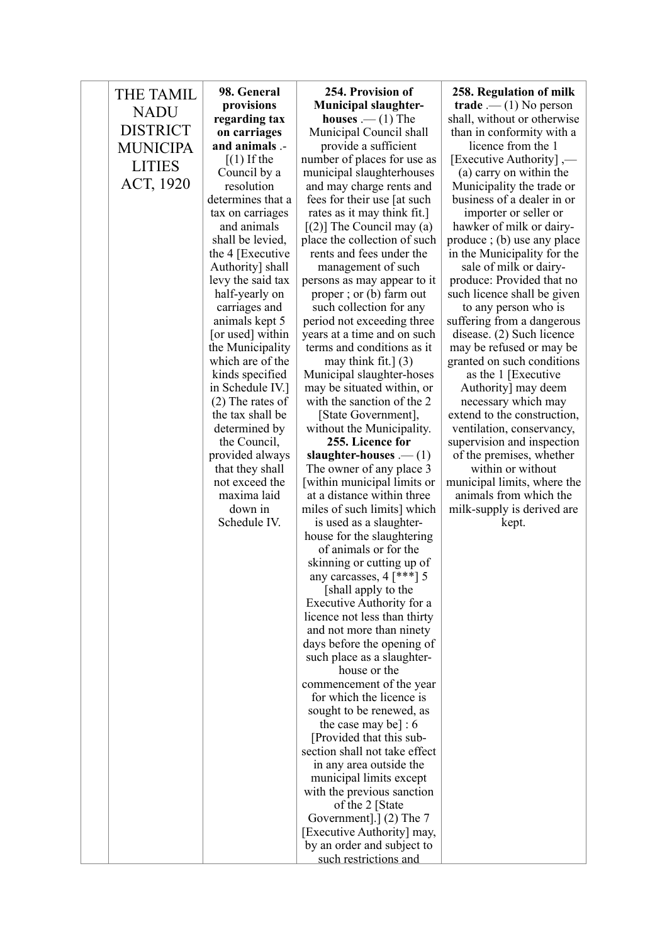| <b>THE TAMIL</b><br><b>NADU</b><br><b>DISTRICT</b><br><b>MUNICIPA</b><br><b>LITIES</b><br>ACT, 1920 | 98. General<br>provisions<br>regarding tax<br>on carriages<br>and animals .-<br>$(1)$ If the<br>Council by a<br>resolution<br>determines that a<br>tax on carriages<br>and animals<br>shall be levied,<br>the 4 [Executive]<br>Authority] shall<br>levy the said tax<br>half-yearly on<br>carriages and<br>animals kept 5<br>[or used] within<br>the Municipality<br>which are of the<br>kinds specified<br>in Schedule IV.]<br>$(2)$ The rates of<br>the tax shall be<br>determined by<br>the Council,<br>provided always<br>that they shall<br>not exceed the<br>maxima laid<br>down in<br>Schedule IV. | 254. Provision of<br><b>Municipal slaughter-</b><br><b>houses</b> $\cdot$ (1) The<br>Municipal Council shall<br>provide a sufficient<br>number of places for use as<br>municipal slaughterhouses<br>and may charge rents and<br>fees for their use [at such]<br>rates as it may think fit.]<br>$\lceil (2) \rceil$ The Council may (a)<br>place the collection of such<br>rents and fees under the<br>management of such<br>persons as may appear to it<br>proper; or (b) farm out<br>such collection for any<br>period not exceeding three<br>years at a time and on such<br>terms and conditions as it<br>may think fit.] $(3)$<br>Municipal slaughter-hoses<br>may be situated within, or<br>with the sanction of the 2<br>[State Government],<br>without the Municipality.<br>255. Licence for<br>slaughter-houses $- (1)$<br>The owner of any place 3<br>[within municipal limits or<br>at a distance within three<br>miles of such limits] which<br>is used as a slaughter-<br>house for the slaughtering<br>of animals or for the<br>skinning or cutting up of<br>any carcasses, $4$ [***] 5<br>[shall apply to the<br>Executive Authority for a<br>licence not less than thirty<br>and not more than ninety<br>days before the opening of<br>such place as a slaughter-<br>house or the<br>commencement of the year<br>for which the licence is<br>sought to be renewed, as<br>the case may be] : $6$ | 258. Regulation of milk<br>$\mathbf{trade}$ .— (1) No person<br>shall, without or otherwise<br>than in conformity with a<br>licence from the 1<br>[Executive Authority],—<br>(a) carry on within the<br>Municipality the trade or<br>business of a dealer in or<br>importer or seller or<br>hawker of milk or dairy-<br>produce; (b) use any place<br>in the Municipality for the<br>sale of milk or dairy-<br>produce: Provided that no<br>such licence shall be given<br>to any person who is<br>suffering from a dangerous<br>disease. (2) Such licence<br>may be refused or may be<br>granted on such conditions<br>as the 1 [Executive<br>Authority] may deem<br>necessary which may<br>extend to the construction,<br>ventilation, conservancy,<br>supervision and inspection<br>of the premises, whether<br>within or without<br>municipal limits, where the<br>animals from which the<br>milk-supply is derived are<br>kept. |
|-----------------------------------------------------------------------------------------------------|-----------------------------------------------------------------------------------------------------------------------------------------------------------------------------------------------------------------------------------------------------------------------------------------------------------------------------------------------------------------------------------------------------------------------------------------------------------------------------------------------------------------------------------------------------------------------------------------------------------|---------------------------------------------------------------------------------------------------------------------------------------------------------------------------------------------------------------------------------------------------------------------------------------------------------------------------------------------------------------------------------------------------------------------------------------------------------------------------------------------------------------------------------------------------------------------------------------------------------------------------------------------------------------------------------------------------------------------------------------------------------------------------------------------------------------------------------------------------------------------------------------------------------------------------------------------------------------------------------------------------------------------------------------------------------------------------------------------------------------------------------------------------------------------------------------------------------------------------------------------------------------------------------------------------------------------------------------------------------------------------------------------------------------|--------------------------------------------------------------------------------------------------------------------------------------------------------------------------------------------------------------------------------------------------------------------------------------------------------------------------------------------------------------------------------------------------------------------------------------------------------------------------------------------------------------------------------------------------------------------------------------------------------------------------------------------------------------------------------------------------------------------------------------------------------------------------------------------------------------------------------------------------------------------------------------------------------------------------------------|
|                                                                                                     |                                                                                                                                                                                                                                                                                                                                                                                                                                                                                                                                                                                                           |                                                                                                                                                                                                                                                                                                                                                                                                                                                                                                                                                                                                                                                                                                                                                                                                                                                                                                                                                                                                                                                                                                                                                                                                                                                                                                                                                                                                               |                                                                                                                                                                                                                                                                                                                                                                                                                                                                                                                                                                                                                                                                                                                                                                                                                                                                                                                                      |
|                                                                                                     |                                                                                                                                                                                                                                                                                                                                                                                                                                                                                                                                                                                                           | [Provided that this sub-<br>section shall not take effect<br>in any area outside the<br>municipal limits except<br>with the previous sanction<br>of the 2 [State]<br>Government].] $(2)$ The 7<br>[Executive Authority] may,<br>by an order and subject to<br>such restrictions and                                                                                                                                                                                                                                                                                                                                                                                                                                                                                                                                                                                                                                                                                                                                                                                                                                                                                                                                                                                                                                                                                                                           |                                                                                                                                                                                                                                                                                                                                                                                                                                                                                                                                                                                                                                                                                                                                                                                                                                                                                                                                      |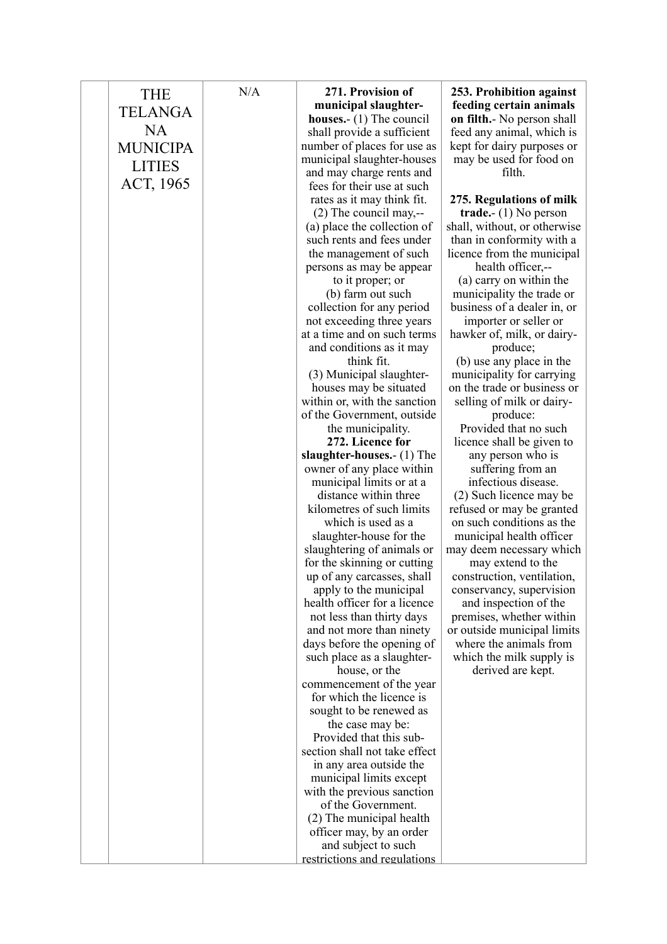| <b>THE</b>      | N/A | 271. Provision of                                        | 253. Prohibition against                              |
|-----------------|-----|----------------------------------------------------------|-------------------------------------------------------|
| TELANGA         |     | municipal slaughter-                                     | feeding certain animals                               |
|                 |     | <b>houses.</b> - $(1)$ The council                       | <b>on filth.</b> No person shall                      |
| <b>NA</b>       |     | shall provide a sufficient                               | feed any animal, which is                             |
| <b>MUNICIPA</b> |     | number of places for use as                              | kept for dairy purposes or                            |
| <b>LITIES</b>   |     | municipal slaughter-houses                               | may be used for food on                               |
|                 |     | and may charge rents and                                 | filth.                                                |
| ACT, 1965       |     | fees for their use at such                               |                                                       |
|                 |     | rates as it may think fit.                               | 275. Regulations of milk                              |
|                 |     | $(2)$ The council may,--                                 | trade. $- (1)$ No person                              |
|                 |     | (a) place the collection of                              | shall, without, or otherwise                          |
|                 |     | such rents and fees under                                | than in conformity with a                             |
|                 |     | the management of such                                   | licence from the municipal                            |
|                 |     | persons as may be appear                                 | health officer,--                                     |
|                 |     | to it proper; or                                         | (a) carry on within the                               |
|                 |     | (b) farm out such                                        | municipality the trade or                             |
|                 |     | collection for any period                                | business of a dealer in, or                           |
|                 |     | not exceeding three years<br>at a time and on such terms | importer or seller or<br>hawker of, milk, or dairy-   |
|                 |     | and conditions as it may                                 | produce;                                              |
|                 |     | think fit.                                               | (b) use any place in the                              |
|                 |     | (3) Municipal slaughter-                                 | municipality for carrying                             |
|                 |     | houses may be situated                                   | on the trade or business or                           |
|                 |     | within or, with the sanction                             | selling of milk or dairy-                             |
|                 |     | of the Government, outside                               | produce:                                              |
|                 |     | the municipality.                                        | Provided that no such                                 |
|                 |     | 272. Licence for                                         | licence shall be given to                             |
|                 |     | slaughter-houses.- (1) The                               | any person who is                                     |
|                 |     | owner of any place within                                | suffering from an                                     |
|                 |     | municipal limits or at a                                 | infectious disease.                                   |
|                 |     | distance within three                                    | (2) Such licence may be                               |
|                 |     | kilometres of such limits                                | refused or may be granted                             |
|                 |     | which is used as a                                       | on such conditions as the                             |
|                 |     | slaughter-house for the                                  | municipal health officer                              |
|                 |     | slaughtering of animals or                               | may deem necessary which                              |
|                 |     | for the skinning or cutting                              | may extend to the                                     |
|                 |     | up of any carcasses, shall                               | construction, ventilation,                            |
|                 |     | apply to the municipal                                   | conservancy, supervision                              |
|                 |     | health officer for a licence                             | and inspection of the                                 |
|                 |     | not less than thirty days                                | premises, whether within                              |
|                 |     | and not more than ninety<br>days before the opening of   | or outside municipal limits<br>where the animals from |
|                 |     | such place as a slaughter-                               | which the milk supply is                              |
|                 |     | house, or the                                            | derived are kept.                                     |
|                 |     | commencement of the year                                 |                                                       |
|                 |     | for which the licence is                                 |                                                       |
|                 |     | sought to be renewed as                                  |                                                       |
|                 |     | the case may be:                                         |                                                       |
|                 |     | Provided that this sub-                                  |                                                       |
|                 |     | section shall not take effect                            |                                                       |
|                 |     | in any area outside the                                  |                                                       |
|                 |     | municipal limits except                                  |                                                       |
|                 |     | with the previous sanction                               |                                                       |
|                 |     | of the Government.                                       |                                                       |
|                 |     | (2) The municipal health                                 |                                                       |
|                 |     | officer may, by an order                                 |                                                       |
|                 |     | and subject to such                                      |                                                       |
|                 |     | restrictions and regulations                             |                                                       |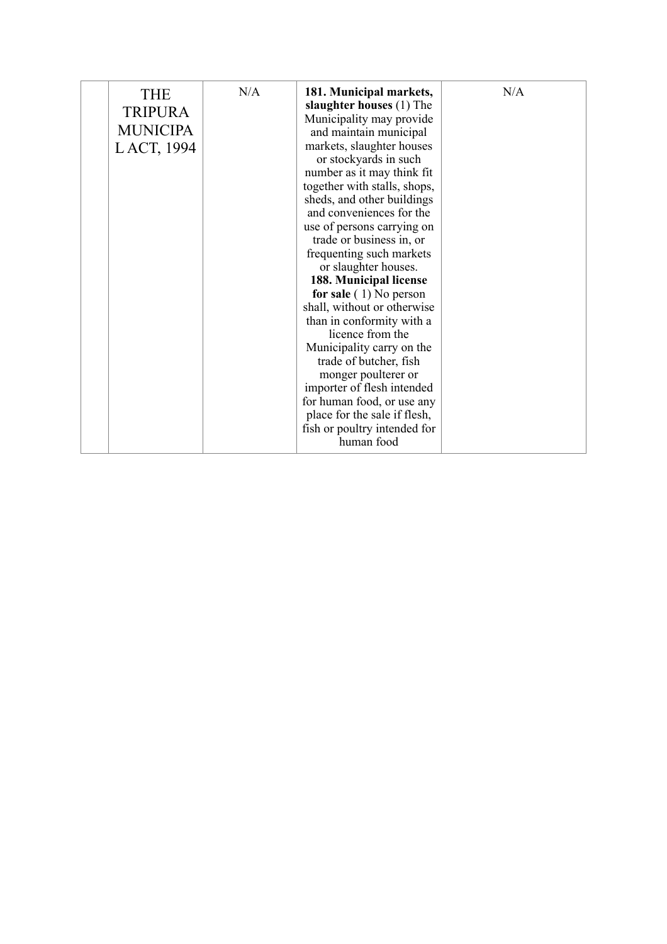|  | <b>THE</b><br><b>TRIPURA</b><br><b>MUNICIPA</b><br>LACT, 1994 | N/A | 181. Municipal markets,<br>slaughter houses (1) The<br>Municipality may provide<br>and maintain municipal<br>markets, slaughter houses<br>or stockyards in such<br>number as it may think fit<br>together with stalls, shops,<br>sheds, and other buildings<br>and conveniences for the<br>use of persons carrying on<br>trade or business in, or<br>frequenting such markets<br>or slaughter houses.<br>188. Municipal license<br>for sale $(1)$ No person<br>shall, without or otherwise<br>than in conformity with a<br>licence from the<br>Municipality carry on the<br>trade of butcher, fish<br>monger poulterer or<br>importer of flesh intended<br>for human food, or use any<br>place for the sale if flesh,<br>fish or poultry intended for<br>human food | N/A |
|--|---------------------------------------------------------------|-----|---------------------------------------------------------------------------------------------------------------------------------------------------------------------------------------------------------------------------------------------------------------------------------------------------------------------------------------------------------------------------------------------------------------------------------------------------------------------------------------------------------------------------------------------------------------------------------------------------------------------------------------------------------------------------------------------------------------------------------------------------------------------|-----|
|--|---------------------------------------------------------------|-----|---------------------------------------------------------------------------------------------------------------------------------------------------------------------------------------------------------------------------------------------------------------------------------------------------------------------------------------------------------------------------------------------------------------------------------------------------------------------------------------------------------------------------------------------------------------------------------------------------------------------------------------------------------------------------------------------------------------------------------------------------------------------|-----|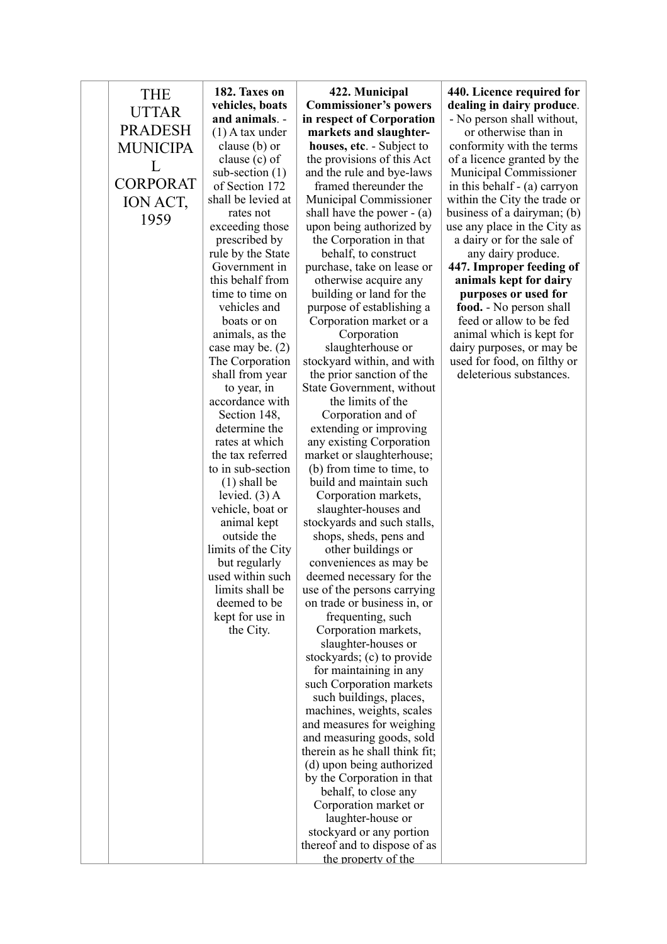| THE             | 182. Taxes on                       | 422. Municipal                                          | 440. Licence required for                                |
|-----------------|-------------------------------------|---------------------------------------------------------|----------------------------------------------------------|
| <b>UTTAR</b>    | vehicles, boats                     | <b>Commissioner's powers</b>                            | dealing in dairy produce.                                |
| <b>PRADESH</b>  | and animals. -                      | in respect of Corporation                               | - No person shall without,                               |
|                 | $(1)$ A tax under                   | markets and slaughter-                                  | or otherwise than in                                     |
| <b>MUNICIPA</b> | clause (b) or<br>clause (c) of      | houses, etc. - Subject to<br>the provisions of this Act | conformity with the terms<br>of a licence granted by the |
| L               | sub-section $(1)$                   | and the rule and bye-laws                               | Municipal Commissioner                                   |
| <b>CORPORAT</b> | of Section 172                      | framed thereunder the                                   | in this behalf - (a) carryon                             |
| ION ACT,        | shall be levied at                  | Municipal Commissioner                                  | within the City the trade or                             |
| 1959            | rates not                           | shall have the power $-$ (a)                            | business of a dairyman; (b)                              |
|                 | exceeding those                     | upon being authorized by                                | use any place in the City as                             |
|                 | prescribed by                       | the Corporation in that                                 | a dairy or for the sale of                               |
|                 | rule by the State                   | behalf, to construct                                    | any dairy produce.                                       |
|                 | Government in                       | purchase, take on lease or                              | 447. Improper feeding of                                 |
|                 | this behalf from<br>time to time on | otherwise acquire any                                   | animals kept for dairy                                   |
|                 | vehicles and                        | building or land for the<br>purpose of establishing a   | purposes or used for<br>food. - No person shall          |
|                 | boats or on                         | Corporation market or a                                 | feed or allow to be fed                                  |
|                 | animals, as the                     | Corporation                                             | animal which is kept for                                 |
|                 | case may be. $(2)$                  | slaughterhouse or                                       | dairy purposes, or may be                                |
|                 | The Corporation                     | stockyard within, and with                              | used for food, on filthy or                              |
|                 | shall from year                     | the prior sanction of the                               | deleterious substances.                                  |
|                 | to year, in                         | State Government, without                               |                                                          |
|                 | accordance with                     | the limits of the                                       |                                                          |
|                 | Section 148,                        | Corporation and of                                      |                                                          |
|                 | determine the<br>rates at which     | extending or improving<br>any existing Corporation      |                                                          |
|                 | the tax referred                    | market or slaughterhouse;                               |                                                          |
|                 | to in sub-section                   | (b) from time to time, to                               |                                                          |
|                 | $(1)$ shall be                      | build and maintain such                                 |                                                          |
|                 | levied. $(3)$ A                     | Corporation markets,                                    |                                                          |
|                 | vehicle, boat or                    | slaughter-houses and                                    |                                                          |
|                 | animal kept                         | stockyards and such stalls,                             |                                                          |
|                 | outside the                         | shops, sheds, pens and                                  |                                                          |
|                 | limits of the City<br>but regularly | other buildings or<br>conveniences as may be            |                                                          |
|                 | used within such                    | deemed necessary for the                                |                                                          |
|                 | limits shall be                     | use of the persons carrying                             |                                                          |
|                 | deemed to be                        | on trade or business in, or                             |                                                          |
|                 | kept for use in                     | frequenting, such                                       |                                                          |
|                 | the City.                           | Corporation markets,                                    |                                                          |
|                 |                                     | slaughter-houses or                                     |                                                          |
|                 |                                     | stockyards; (c) to provide                              |                                                          |
|                 |                                     | for maintaining in any<br>such Corporation markets      |                                                          |
|                 |                                     | such buildings, places,                                 |                                                          |
|                 |                                     | machines, weights, scales                               |                                                          |
|                 |                                     | and measures for weighing                               |                                                          |
|                 |                                     | and measuring goods, sold                               |                                                          |
|                 |                                     | therein as he shall think fit;                          |                                                          |
|                 |                                     | (d) upon being authorized                               |                                                          |
|                 |                                     | by the Corporation in that                              |                                                          |
|                 |                                     | behalf, to close any                                    |                                                          |
|                 |                                     | Corporation market or<br>laughter-house or              |                                                          |
|                 |                                     | stockyard or any portion                                |                                                          |
|                 |                                     | thereof and to dispose of as                            |                                                          |
|                 |                                     | the property of the                                     |                                                          |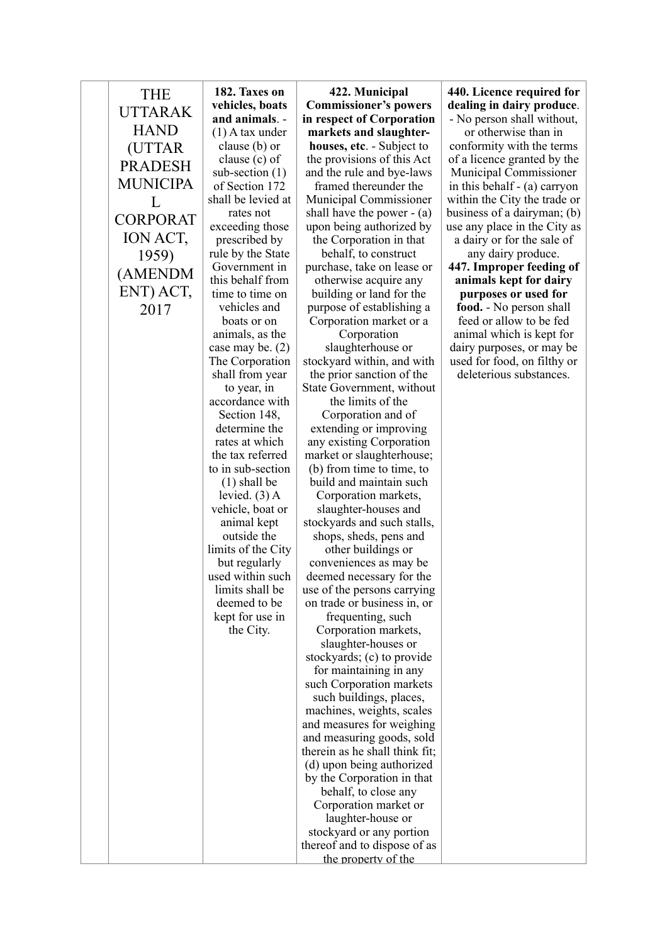| <b>THE</b>      | 182. Taxes on                         | 422. Municipal                                          | 440. Licence required for                                |
|-----------------|---------------------------------------|---------------------------------------------------------|----------------------------------------------------------|
| <b>UTTARAK</b>  | vehicles, boats                       | <b>Commissioner's powers</b>                            | dealing in dairy produce.                                |
| <b>HAND</b>     | and animals. -<br>$(1)$ A tax under   | in respect of Corporation<br>markets and slaughter-     | - No person shall without,<br>or otherwise than in       |
|                 | clause (b) or                         | houses, etc. - Subject to                               | conformity with the terms                                |
| (UTTAR          | clause $(c)$ of                       | the provisions of this Act                              | of a licence granted by the                              |
| <b>PRADESH</b>  | sub-section $(1)$                     | and the rule and bye-laws                               | Municipal Commissioner                                   |
| <b>MUNICIPA</b> | of Section 172                        | framed thereunder the                                   | in this behalf - (a) carryon                             |
| L               | shall be levied at                    | Municipal Commissioner                                  | within the City the trade or                             |
| <b>CORPORAT</b> | rates not                             | shall have the power $-$ (a)                            | business of a dairyman; (b)                              |
| ION ACT,        | exceeding those                       | upon being authorized by                                | use any place in the City as                             |
|                 | prescribed by<br>rule by the State    | the Corporation in that<br>behalf, to construct         | a dairy or for the sale of<br>any dairy produce.         |
| 1959)           | Government in                         | purchase, take on lease or                              | 447. Improper feeding of                                 |
| (AMENDM         | this behalf from                      | otherwise acquire any                                   | animals kept for dairy                                   |
| ENT) ACT,       | time to time on                       | building or land for the                                | purposes or used for                                     |
| 2017            | vehicles and                          | purpose of establishing a                               | food. - No person shall                                  |
|                 | boats or on                           | Corporation market or a                                 | feed or allow to be fed                                  |
|                 | animals, as the                       | Corporation<br>slaughterhouse or                        | animal which is kept for                                 |
|                 | case may be. $(2)$<br>The Corporation | stockyard within, and with                              | dairy purposes, or may be<br>used for food, on filthy or |
|                 | shall from year                       | the prior sanction of the                               | deleterious substances.                                  |
|                 | to year, in                           | State Government, without                               |                                                          |
|                 | accordance with                       | the limits of the                                       |                                                          |
|                 | Section 148,                          | Corporation and of                                      |                                                          |
|                 | determine the                         | extending or improving                                  |                                                          |
|                 | rates at which<br>the tax referred    | any existing Corporation                                |                                                          |
|                 | to in sub-section                     | market or slaughterhouse;<br>(b) from time to time, to  |                                                          |
|                 | $(1)$ shall be                        | build and maintain such                                 |                                                          |
|                 | levied. $(3)$ A                       | Corporation markets,                                    |                                                          |
|                 | vehicle, boat or                      | slaughter-houses and                                    |                                                          |
|                 | animal kept                           | stockyards and such stalls,                             |                                                          |
|                 | outside the                           | shops, sheds, pens and                                  |                                                          |
|                 | limits of the City<br>but regularly   | other buildings or<br>conveniences as may be            |                                                          |
|                 | used within such                      | deemed necessary for the                                |                                                          |
|                 | limits shall be                       | use of the persons carrying                             |                                                          |
|                 | deemed to be                          | on trade or business in, or                             |                                                          |
|                 | kept for use in                       | frequenting, such                                       |                                                          |
|                 | the City.                             | Corporation markets,                                    |                                                          |
|                 |                                       | slaughter-houses or                                     |                                                          |
|                 |                                       | stockyards; (c) to provide<br>for maintaining in any    |                                                          |
|                 |                                       | such Corporation markets                                |                                                          |
|                 |                                       | such buildings, places,                                 |                                                          |
|                 |                                       | machines, weights, scales                               |                                                          |
|                 |                                       | and measures for weighing                               |                                                          |
|                 |                                       | and measuring goods, sold                               |                                                          |
|                 |                                       | therein as he shall think fit;                          |                                                          |
|                 |                                       | (d) upon being authorized<br>by the Corporation in that |                                                          |
|                 |                                       | behalf, to close any                                    |                                                          |
|                 |                                       | Corporation market or                                   |                                                          |
|                 |                                       | laughter-house or                                       |                                                          |
|                 |                                       | stockyard or any portion                                |                                                          |
|                 |                                       | thereof and to dispose of as                            |                                                          |
|                 |                                       | the property of the                                     |                                                          |